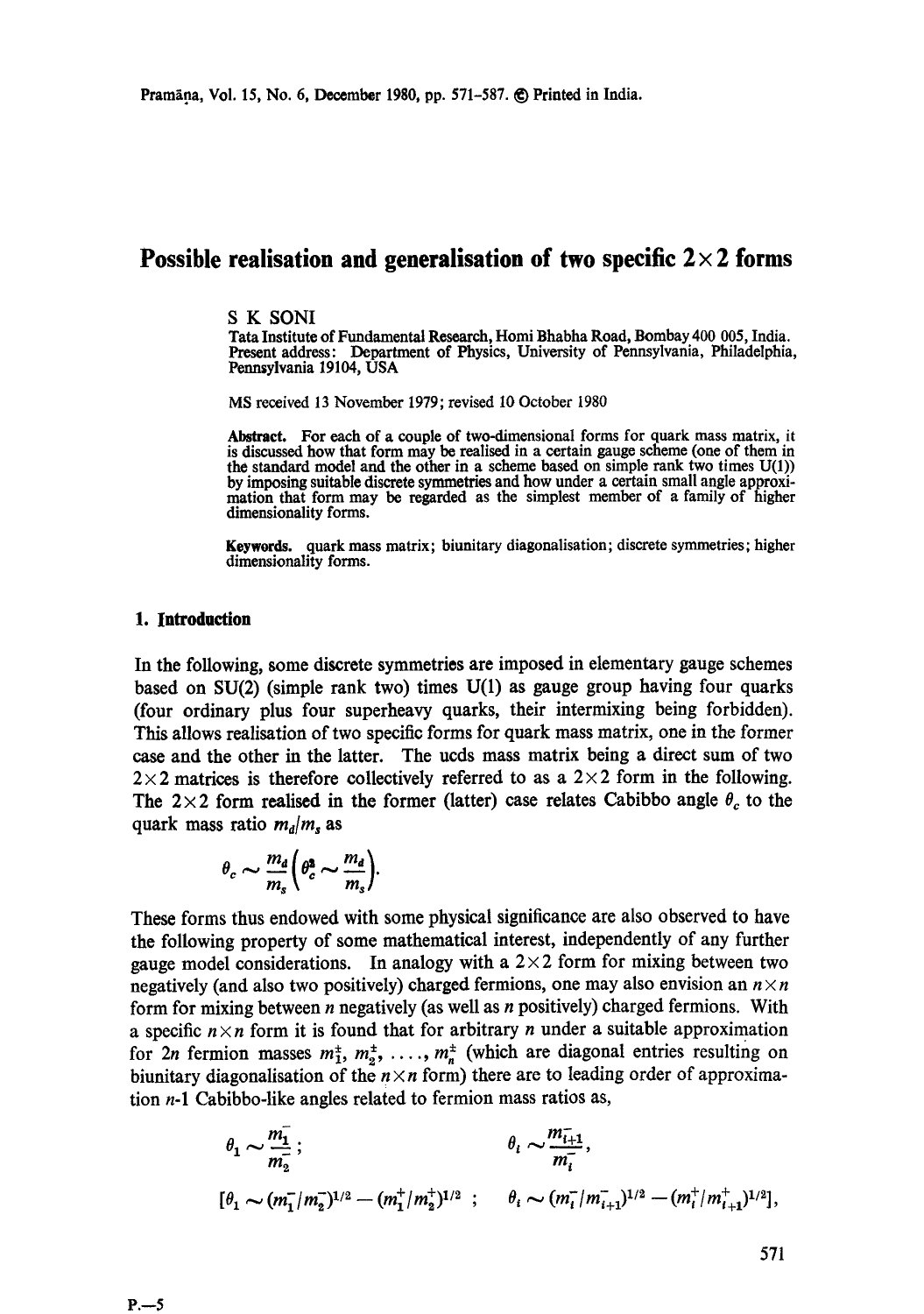# **Possible realisation and generalisation of two specific**  $2 \times 2$  **forms**

#### S K SONI

Tara Institute of Fundamental Research, Homi Bhabha Road, Bombay 400 005, India. Present address: Department of Physics, University of Pennsylvania, Philadelphia, Pennsylvania 19104, USA

MS received 13 November 1979; revised 10 October 1980

Abstract. For each of a couple of two-dimensional forms for quark mass matrix, it is discussed how that form may be realised in a certain gauge scheme (one of them in the standard model and the other in a scheme based on simple rank two times U(1)) by imposing suitable discrete symmetries and how under a certain small angle approximation that form may be regarded as the simplest member of a family of higher dimensionality forms.

Keywords. quark mass matrix; biunitary diagonalisation; discrete symmetries; higher dimensionality forms.

### 1. Introduction

In the following, some discrete symmetries are imposed in elementary gauge schemes based on SU(2) (simple rank two) times U(1) as gauge group having four quarks (four ordinary plus four superheavy quarks, their intermixing being forbidden). This allows realisation of two specific forms for quark mass matrix, one in the former case and the other in the latter. The ucds mass matrix being a direct sum of two  $2 \times 2$  matrices is therefore collectively referred to as a  $2 \times 2$  form in the following. The 2×2 form realised in the former (latter) case relates Cabibbo angle  $\theta_c$  to the quark mass ratio  $m_d/m_s$  as

$$
\theta_c \sim \frac{m_d}{m_s} \bigg( \theta_c^2 \sim \frac{m_d}{m_s} \bigg).
$$

These forms thus endowed with some physical significance are also observed to have the following property of some mathematical interest, independently of any further gauge model considerations. In analogy with a  $2 \times 2$  form for mixing between two negatively (and also two positively) charged fermions, one may also envision an  $n \times n$ form for mixing between  $n$  negatively (as well as  $n$  positively) charged fermions. With a specific  $n \times n$  form it is found that for arbitrary n under a suitable approximation for 2n fermion masses  $m_1^{\pm}, m_2^{\pm}, \ldots, m_n^{\pm}$  (which are diagonal entries resulting on biunitary diagonalisation of the  $n \times n$  form) there are to leading order of approximation  $n-1$  Cabibbo-like angles related to fermion mass ratios as,

$$
\theta_1 \sim \frac{m_1}{m_2}
$$
;  $\theta_i \sim \frac{m_{i+1}}{m_i}$ ,  
\n $[\theta_1 \sim (m_1^{-}/m_2^{-})^{1/2} - (m_1^{+}/m_2^{+})^{1/2}$ ;  $\theta_i \sim (m_i^{-}/m_{i+1}^{-})^{1/2} - (m_i^{+}/m_{i+1}^{+})^{1/2}]$ ,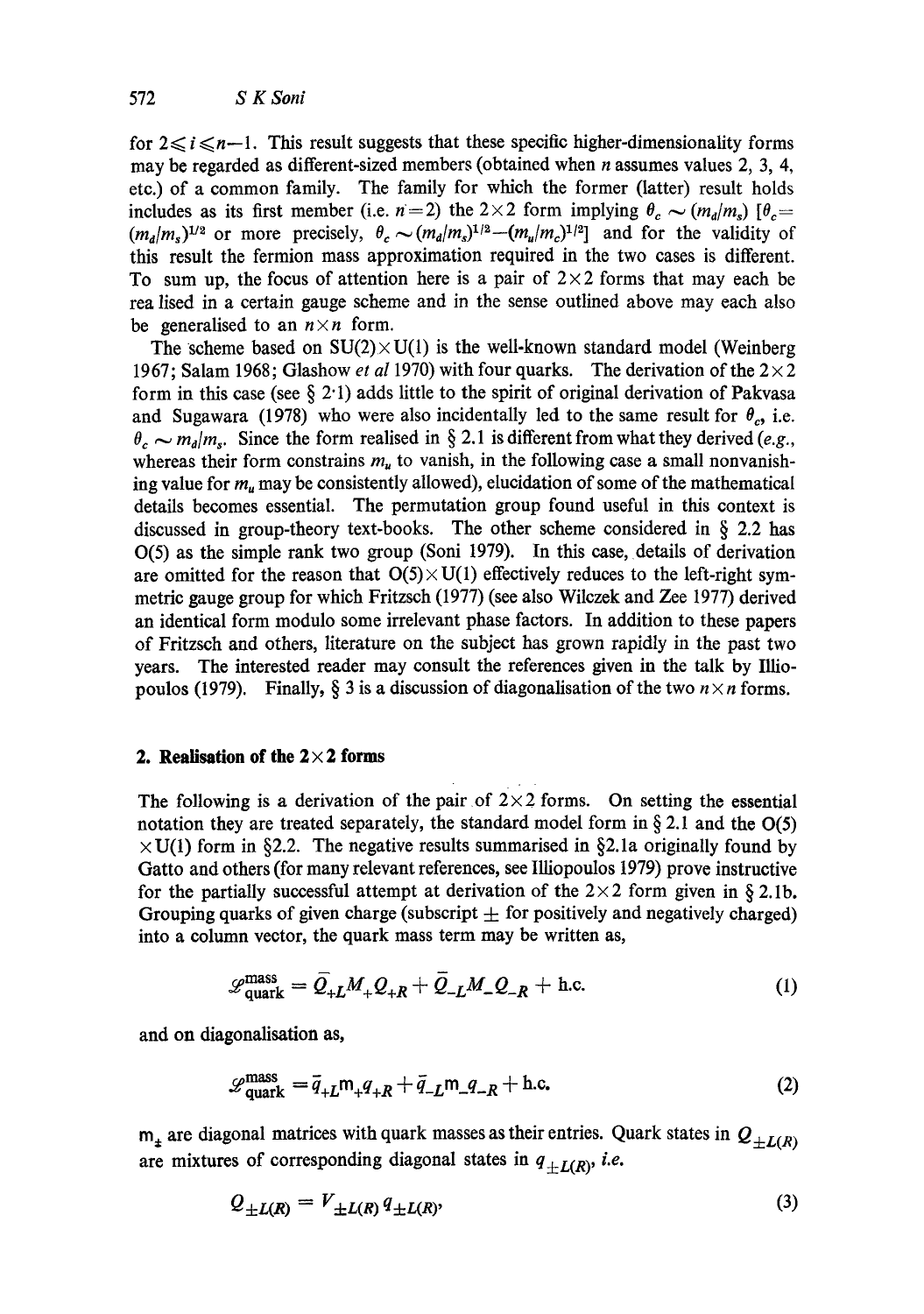for  $2 \le i \le n-1$ . This result suggests that these specific higher-dimensionality forms may be regarded as different-sized members (obtained when *n* assumes values 2, 3, 4, etc.) of a common family. The family for which the former (latter) result holds includes as its first member (i.e.  $n=2$ ) the 2×2 form implying  $\theta_c \sim (m_d/m_s)$  [ $\theta_c=$  $(m_a/m_s)^{1/2}$  or more precisely,  $\theta_c \sim (m_a/m_s)^{1/2} - (m_u/m_c)^{1/2}$  and for the validity of this result the fermion mass approximation required in the two cases is different. To sum up, the focus of attention here is a pair of  $2 \times 2$  forms that may each be rea lised in a certain gauge scheme and in the sense outlined above may each also be generalised to an  $n \times n$  form.

The scheme based on  $SU(2) \times U(1)$  is the well-known standard model (Weinberg 1967; Salam 1968; Glashow *et al* 1970) with four quarks. The derivation of the  $2 \times 2$ form in this case (see  $\S 2.1$ ) adds little to the spirit of original derivation of Pakvasa and Sugawara (1978) who were also incidentally led to the same result for  $\theta_c$ , i.e.  $\theta_c \sim m_d/m_s$ . Since the form realised in § 2.1 is different from what they derived *(e.g.,* whereas their form constrains  $m<sub>u</sub>$  to vanish, in the following case a small nonvanishing value for  $m<sub>u</sub>$  may be consistently allowed), elucidation of some of the mathematical details becomes essential. The permutation group found useful in this context is discussed in group-theory text-books. The other scheme considered in  $\S$  2.2 has 0(5) as the simple rank two group (Soni 1979). In this case, details of derivation are omitted for the reason that  $O(5) \times U(1)$  effectively reduces to the left-right symmetric gauge group for which Fritzsch (1977) (see also Wilczek and Zee 1977) derived an identical form modulo some irrelevant phase factors. In addition to these papers of Fritzsch and others, literature on the subject has grown rapidly in the past two years. The interested reader may consult the references given in the talk by Illiopoulos (1979). Finally,  $\S$  3 is a discussion of diagonalisation of the two  $n \times n$  forms.

# **2. Realisation of the 2×2 forms**

The following is a derivation of the pair of  $2 \times 2$  forms. On setting the essential notation they are treated separately, the standard model form in  $\S 2.1$  and the O(5)  $\times$  U(1) form in §2.2. The negative results summarised in §2.1a originally found by Gatto and others (for many relevant references, see IUiopoulos 1979) prove instructive for the partially successful attempt at derivation of the  $2 \times 2$  form given in § 2.1b. Grouping quarks of given charge (subscript  $\pm$  for positively and negatively charged) into a column vector, the quark mass term may be written as,

$$
\mathcal{L}_{\text{quark}}^{\text{mass}} = \bar{Q}_{+L} M_+ Q_{+R} + \bar{Q}_{-L} M_- Q_{-R} + \text{h.c.}
$$
 (1)

and on diagonalisation as,

$$
\mathcal{L}_{\text{quark}}^{\text{mass}} = \bar{q}_{+L} \mathsf{m}_+ q_{+R} + \bar{q}_{-L} \mathsf{m}_- q_{-R} + \text{h.c.}
$$
 (2)

 $m<sub>±</sub>$  are diagonal matrices with quark masses as their entries. Quark states in  $Q<sub>+L(R)</sub>$ are mixtures of corresponding diagonal states in  $q_{\pm L(R)}$ , *i.e.* 

$$
Q_{\pm L(R)} = V_{\pm L(R)} q_{\pm L(R)},\tag{3}
$$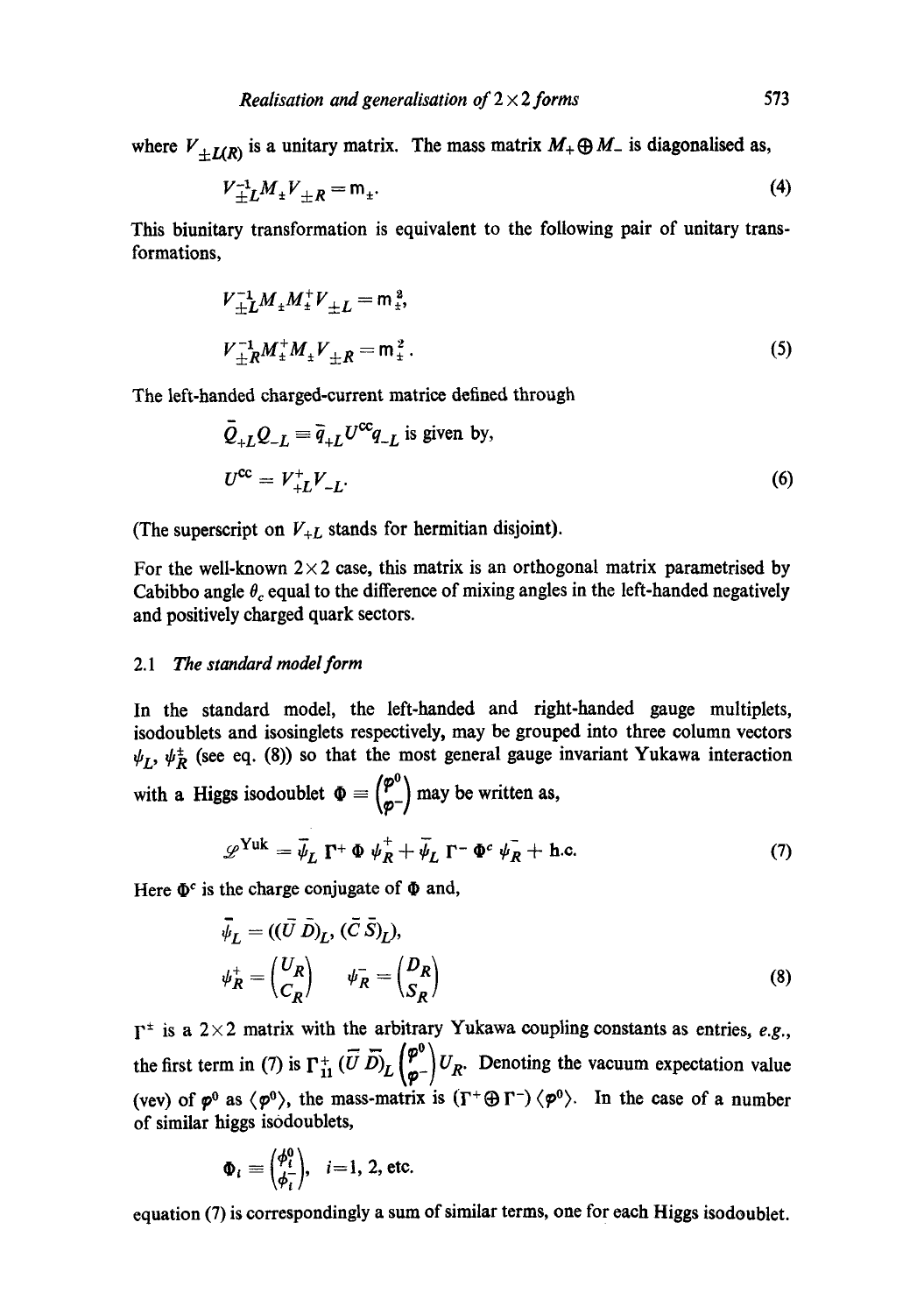where  $V_{+L(R)}$  is a unitary matrix. The mass matrix  $M_+ \oplus M_-$  is diagonalised as,

$$
V_{\pm L}^{-1} M_{\pm} V_{\pm R} = m_{\pm}.
$$
 (4)

This biunitary transformation is equivalent to the following pair of unitary transformations,

$$
V_{\pm L}^{-1} M_{\pm} M_{\pm}^{\dagger} V_{\pm L} = m_{\pm}^{2},
$$
  
\n
$$
V_{\pm R}^{-1} M_{\pm}^{\dagger} M_{\pm} V_{\pm R} = m_{\pm}^{2}.
$$
 (5)

The left-handed charged-current matric¢ defined through

$$
\bar{Q}_{+L}Q_{-L} \equiv \bar{q}_{+L}U^{\text{cc}}q_{-L} \text{ is given by,}
$$
  
\n
$$
U^{\text{cc}} = V_{+L}^{\dagger}V_{-L}.
$$
\n(6)

(The superscript on  $V_{+L}$  stands for hermitian disjoint).

For the well-known  $2 \times 2$  case, this matrix is an orthogonal matrix parametrised by Cabibbo angle  $\theta_c$  equal to the difference of mixing angles in the left-handed negatively and positively charged quark sectors.

### *2.1 The standard model form*

In the standard model, the left-handed and right-handed gauge multiplets, isodoublets and isosinglets respectively, may be grouped into three column vectors  $\psi_L$ ,  $\psi_R^{\pm}$  (see eq. (8)) so that the most general gauge invariant Yukawa interaction with a Higgs isodoublet  $\Phi = \begin{pmatrix} \varphi^0 \\ \varphi^- \end{pmatrix}$  may be written as,

$$
\mathscr{L}^{\text{Yuk}} = \bar{\psi}_L \; \mathbf{\Gamma}^+ \; \Phi \; \psi_R^+ + \bar{\psi}_L \; \mathbf{\Gamma}^- \; \Phi^c \; \psi_R^- + \text{h.c.} \tag{7}
$$

Here  $\Phi^c$  is the charge conjugate of  $\Phi$  and,

$$
\vec{\psi}_L = ((\vec{U} \ \vec{D})_L, (\vec{C} \ \vec{S})_L),
$$
  
\n
$$
\psi_R^+ = \begin{pmatrix} U_R \\ C_R \end{pmatrix} \qquad \psi_R^- = \begin{pmatrix} D_R \\ S_R \end{pmatrix}
$$
 (8)

 $\Gamma^{\pm}$  is a 2×2 matrix with the arbitrary Yukawa coupling constants as entries, *e.g.*,  $=$   $\pi$  ( $\varphi^0$ ) the first term in (7) is  $\Gamma_{11}^+(U D)$   $\left[\Gamma_{21}^{\dagger} | U_R \right]$ . Denoting the vacuum expectation value (vev) of  $\varphi^0$  as  $\langle \varphi^0 \rangle$ , the mass-matrix is  $(\Gamma^+ \oplus \Gamma^-) \langle \varphi^0 \rangle$ . In the case of a number of similar higgs is0doublets,

$$
\Phi_i \equiv \begin{pmatrix} \phi_i^0 \\ \phi_i^- \end{pmatrix}, \quad i = 1, 2, \text{ etc.}
$$

equation (7) is correspondingly a sum of similar terms, one for each Higgs isodoublet.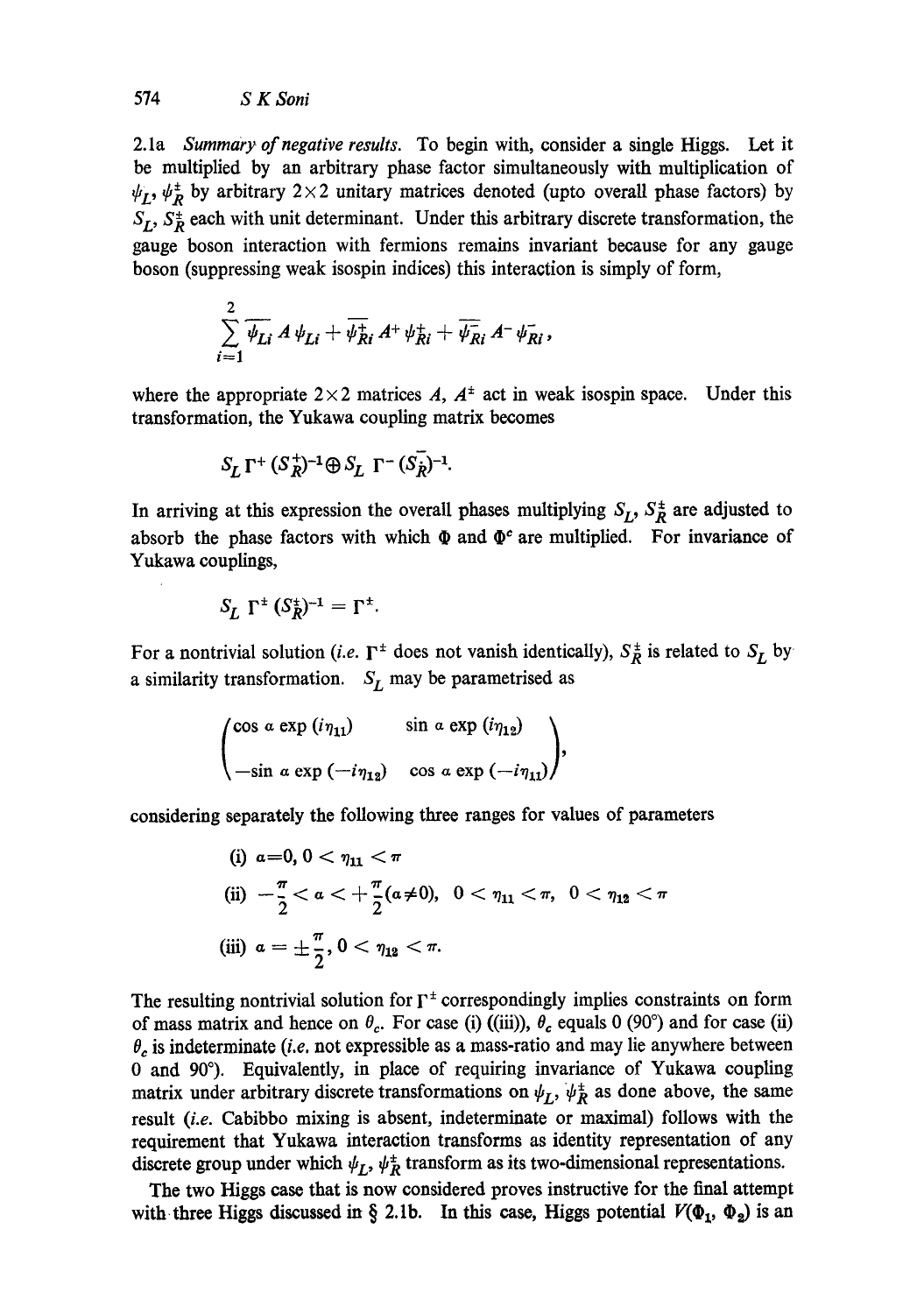2.1a *Summary of negative results.* To begin with, consider a single Higgs. Let it be multiplied by an arbitrary phase factor simultaneously with multiplication of  $\psi_L$ ,  $\psi_R^{\pm}$  by arbitrary 2×2 unitary matrices denoted (upto overall phase factors) by  $S_I$ ,  $S_R^{\pm}$  each with unit determinant. Under this arbitrary discrete transformation, the gauge boson interaction with fermions remains invariant because for any gauge boson (suppressing weak isospin indices) this interaction is simply of form,

$$
\sum_{i=1}^2 \overline{\psi_{Li}} A \psi_{Li} + \overline{\psi_{Ri}^+} A^+ \psi_{Ri}^+ + \overline{\psi_{Ri}^-} A^- \psi_{Ri}^-,
$$

where the appropriate  $2 \times 2$  matrices A,  $A^{\pm}$  act in weak isospin space. Under this transformation, the Yukawa coupling matrix becomes

$$
S_L \Gamma^+ (S_R^+)^{-1} \oplus S_L \Gamma^- (S_R^-)^{-1}.
$$

In arriving at this expression the overall phases multiplying  $S_L$ ,  $S_R^{\pm}$  are adjusted to absorb the phase factors with which  $\Phi$  and  $\Phi^c$  are multiplied. For invariance of Yukawa couplings,

$$
S_L \Gamma^{\pm} (S_R^{\pm})^{-1} = \Gamma^{\pm}.
$$

For a nontrivial solution *(i.e.*  $\Gamma^{\pm}$  does not vanish identically),  $S_R^{\pm}$  is related to  $S_L$  by a similarity transformation.  $S_L$  may be parametrised as

$$
\begin{pmatrix}\n\cos \alpha \exp (i \eta_{11}) & \sin \alpha \exp (i \eta_{12}) \\
-\sin \alpha \exp (-i \eta_{12}) & \cos \alpha \exp (-i \eta_{11})\n\end{pmatrix},
$$

considering separately the following three ranges for values of parameters

(i) 
$$
a=0, 0 < \eta_{11} < \pi
$$
  
\n(ii)  $-\frac{\pi}{2} < a < +\frac{\pi}{2}(a \neq 0), 0 < \eta_{11} < \pi, 0 < \eta_{12} < \pi$   
\n(iii)  $a = \pm \frac{\pi}{2}, 0 < \eta_{12} < \pi$ .

The resulting nontrivial solution for  $\Gamma^{\pm}$  correspondingly implies constraints on form of mass matrix and hence on  $\theta_c$ . For case (i) ((iii)),  $\theta_c$  equals 0 (90°) and for case (ii)  $\theta_c$  is indeterminate *(i.e.* not expressible as a mass-ratio and may lie anywhere between 0 and 90°). Equivalently, in place of requiring invariance of Yukawa coupling matrix under arbitrary discrete transformations on  $\psi_L$ ,  $\psi_R^{\pm}$  as done above, the same result *(i.e.* Cabibbo mixing is absent, indeterminate or maximal) follows with the requirement that Yukawa interaction transforms as identity representation of any discrete group under which  $\psi_L$ ,  $\psi_R^{\pm}$  transform as its two-dimensional representations.

The two Higgs case that is now considered proves instructive for the final attempt with three Higgs discussed in § 2.1b. In this case, Higgs potential  $V(\Phi_1, \Phi_2)$  is an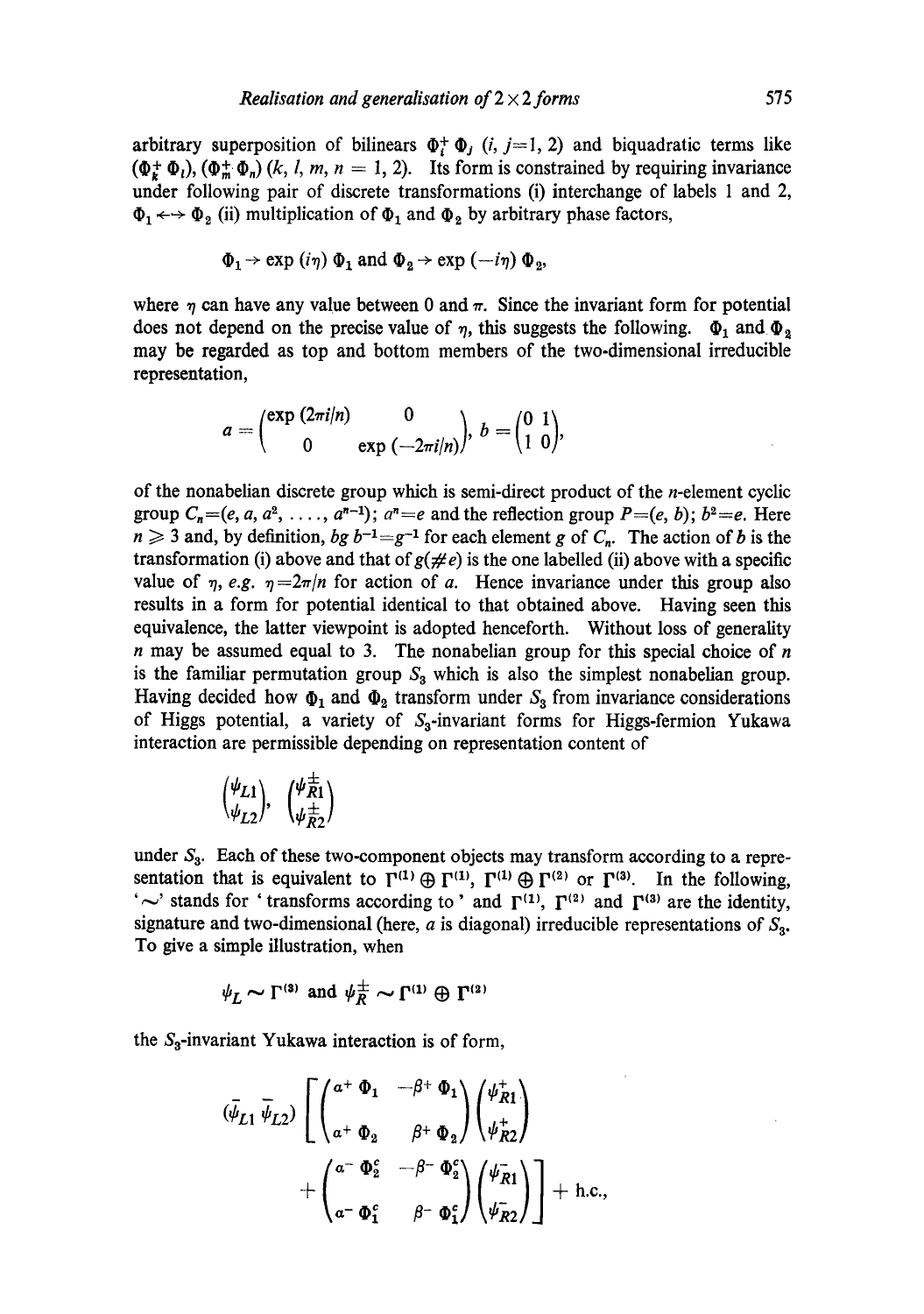arbitrary superposition of bilinears  $\Phi_i^+ \Phi_j$  (*i*, *j*=1, 2) and biquadratic terms like  $(\Phi_{\mathbf{k}}^+\Phi_{\mathbf{l}}), (\Phi_{\mathbf{m}}^+\Phi_{\mathbf{n}})$   $(k, l, m, n = 1, 2)$ . Its form is constrained by requiring invariance under following pair of discrete transformations (i) interchange of labels 1 and 2,  $\Phi_1 \leftrightarrow \Phi_2$  (ii) multiplication of  $\Phi_1$  and  $\Phi_2$  by arbitrary phase factors,

$$
\Phi_1 \rightarrow \exp(i\eta) \Phi_1
$$
 and  $\Phi_2 \rightarrow \exp(-i\eta) \Phi_2$ ,

where  $\eta$  can have any value between 0 and  $\pi$ . Since the invariant form for potential does not depend on the precise value of  $\eta$ , this suggests the following.  $\Phi_1$  and  $\Phi_2$ may be regarded as top and bottom members of the two-dimensional irreducible representation,

$$
a = \begin{pmatrix} \exp{(2\pi i/n)} & 0 \\ 0 & \exp{(-2\pi i/n)} \end{pmatrix}, b = \begin{pmatrix} 0 & 1 \\ 1 & 0 \end{pmatrix},
$$

of the nonabelian discrete group which is semi-direct product of the  $n$ -element cyclic group  $C_n=(e, a, a^2, \ldots, a^{n-1})$ ;  $a^n=e$  and the reflection group  $P=(e, b)$ ;  $b^2=e$ . Here  $n \geq 3$  and, by definition, *bg*  $b^{-1} = g^{-1}$  for each element g of  $C_n$ . The action of b is the transformation (i) above and that of  $g(\neq e)$  is the one labelled (ii) above with a specific value of  $\eta$ , *e.g.*  $\eta = 2\pi/n$  for action of a. Hence invariance under this group also results in a form for potential identical to that obtained above. Having seen this equivalence, the latter viewpoint is adopted henceforth. Without loss of generality  $n$  may be assumed equal to 3. The nonabelian group for this special choice of  $n$ is the familiar permutation group  $S_3$  which is also the simplest nonabelian group. Having decided how  $\Phi_1$  and  $\Phi_2$  transform under  $S_3$  from invariance considerations of Higgs potential, a variety of  $S_3$ -invariant forms for Higgs-fermion Yukawa interaction are permissible depending on representation content of

$$
\begin{pmatrix} \psi_{L1} \\ \psi_{L2} \end{pmatrix}, \ \begin{pmatrix} \psi_{R1}^{\pm} \\ \psi_{R2}^{\pm} \end{pmatrix}
$$

under  $S_3$ . Each of these two-component objects may transform according to a representation that is equivalent to  $\Gamma^{(1)} \oplus \Gamma^{(1)}$ ,  $\Gamma^{(1)} \oplus \Gamma^{(2)}$  or  $\Gamma^{(3)}$ . In the following,  $\sim$ ' stands for ' transforms according to ' and  $\Gamma^{(1)}$ ,  $\Gamma^{(2)}$  and  $\Gamma^{(3)}$  are the identity, signature and two-dimensional (here,  $a$  is diagonal) irreducible representations of  $S_3$ . To give a simple illustration, when

$$
\psi_L \sim \Gamma^{(3)}
$$
 and  $\psi_R^{\pm} \sim \Gamma^{(1)} \oplus \Gamma^{(2)}$ 

the  $S_3$ -invariant Yukawa interaction is of form,

$$
(\bar{\psi}_{L1} \ \bar{\psi}_{L2}) \left[ \begin{pmatrix} a^+ \ \Phi_1 & -\beta^+ \ \Phi_1 \\ a^+ \ \Phi_2 & \beta^+ \ \Phi_2 \end{pmatrix} \begin{pmatrix} \psi_{R1}^+ \\ \psi_{R2}^+ \end{pmatrix} + \begin{pmatrix} a^- \ \Phi_2^c & -\beta^- \ \Phi_2^c \\ a^- \ \Phi_1^c & \beta^- \ \Phi_1^c \end{pmatrix} \begin{pmatrix} \psi_{R1}^- \\ \psi_{R2}^- \end{pmatrix} \right] + \text{h.c.,}
$$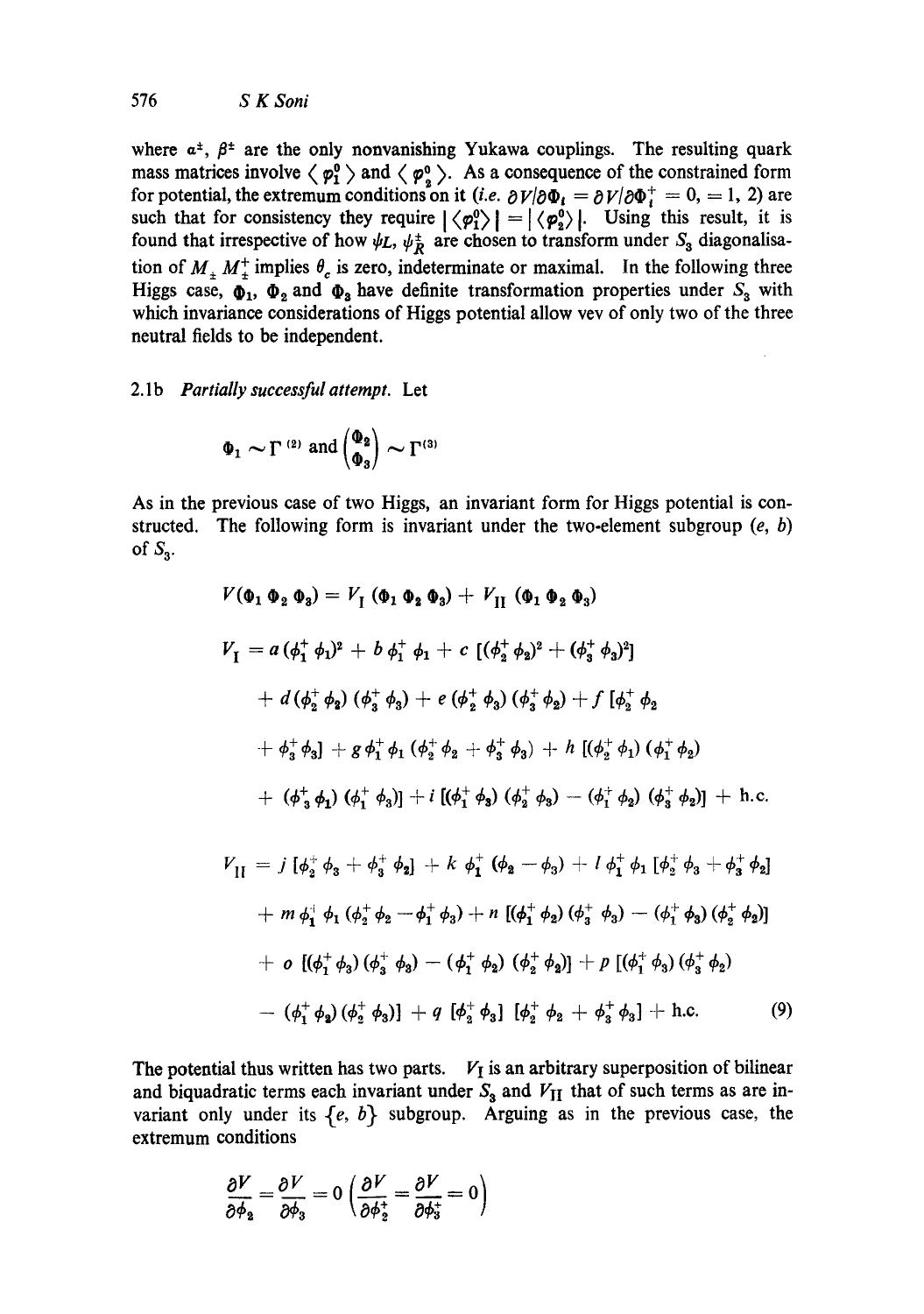where  $a^{\pm}$ ,  $\beta^{\pm}$  are the only nonvanishing Yukawa couplings. The resulting quark mass matrices involve  $\langle \varphi_1^0 \rangle$  and  $\langle \varphi_2^0 \rangle$ . As a consequence of the constrained form for potential, the extremum conditions on it *(i.e.*  $\partial V/\partial \Phi_i = \partial V/\partial \Phi_i^+ = 0, = 1, 2$ ) are such that for consistency they require  $|\langle \varphi_1^0 \rangle| = |\langle \varphi_2^0 \rangle|$ . Using this result, it is found that irrespective of how  $\psi L$ ,  $\psi_R^+$  are chosen to transform under  $S_3$  diagonalisation of  $M_{\pm} M_{\pm}^+$  implies  $\theta_c$  is zero, indeterminate or maximal. In the following three Higgs case,  $\Phi_1$ ,  $\Phi_2$  and  $\Phi_3$  have definite transformation properties under  $S_3$  with which invariance considerations of Higgs potential allow vev of only two of the three neutral fields to be independent.

## 2.1b *Partially successful attempt.* Let

$$
\Phi_1 \sim \Gamma^{(2)}
$$
 and  $\begin{pmatrix} \Phi_2 \\ \Phi_3 \end{pmatrix} \sim \Gamma^{(3)}$ 

As in the previous case of two Higgs, an invariant form for Higgs potential is constructed. The following form is invariant under the two-element subgroup  $(e, b)$ of  $S_3$ .

$$
V(\Phi_1 \Phi_2 \Phi_3) = V_1 (\Phi_1 \Phi_2 \Phi_3) + V_{II} (\Phi_1 \Phi_2 \Phi_3)
$$
  
\n
$$
V_1 = a (\phi_1^+ \phi_1)^2 + b \phi_1^+ \phi_1 + c [(\phi_2^+ \phi_2)^2 + (\phi_3^+ \phi_3)^2]
$$
  
\n
$$
+ d (\phi_2^+ \phi_2) (\phi_3^+ \phi_3) + e (\phi_2^+ \phi_3) (\phi_3^+ \phi_2) + f [\phi_2^+ \phi_2
$$
  
\n
$$
+ \phi_3^+ \phi_3] + g \phi_1^+ \phi_1 (\phi_2^+ \phi_2 + \phi_3^+ \phi_3) + h [(\phi_2^+ \phi_1) (\phi_1^+ \phi_2)
$$
  
\n
$$
+ (\phi_3^+ \phi_1) (\phi_1^+ \phi_3)] + i [(\phi_1^+ \phi_3) (\phi_2^+ \phi_3) - (\phi_1^+ \phi_2) (\phi_3^+ \phi_2)] + h.c.
$$
  
\n
$$
V_{II} = j [\phi_2^+ \phi_3 + \phi_3^+ \phi_2] + k \phi_1^+ (\phi_2 - \phi_3) + l \phi_1^+ \phi_1 [\phi_2^+ \phi_3 + \phi_3^+ \phi_2]
$$

$$
+ m \phi_1^{\dagger} \phi_1 (\phi_2^{\dagger} \phi_2 - \phi_1^{\dagger} \phi_3) + n \left[ (\phi_1^{\dagger} \phi_2) (\phi_3^{\dagger} \phi_3) - (\phi_1^{\dagger} \phi_3) (\phi_2^{\dagger} \phi_2) \right]
$$
  
+ 
$$
o \left[ (\phi_1^{\dagger} \phi_3) (\phi_3^{\dagger} \phi_3) - (\phi_1^{\dagger} \phi_2) (\phi_2^{\dagger} \phi_3) \right] + p \left[ (\phi_1^{\dagger} \phi_3) (\phi_3^{\dagger} \phi_2) \right]
$$
  
- 
$$
(\phi_1^{\dagger} \phi_2) (\phi_2^{\dagger} \phi_3) \right] + q \left[ \phi_2^{\dagger} \phi_3 \right] \left[ \phi_2^{\dagger} \phi_2 + \phi_3^{\dagger} \phi_3 \right] + \text{h.c.}
$$
 (9)

The potential thus written has two parts.  $V_I$  is an arbitrary superposition of bilinear and biquadratic terms each invariant under  $S_3$  and  $V_{II}$  that of such terms as are invariant only under its  $\{e, b\}$  subgroup. Arguing as in the previous case, the extremum conditions

$$
\frac{\partial V}{\partial \phi_2} = \frac{\partial V}{\partial \phi_3} = 0 \left( \frac{\partial V}{\partial \phi_2^+} = \frac{\partial V}{\partial \phi_3^+} = 0 \right)
$$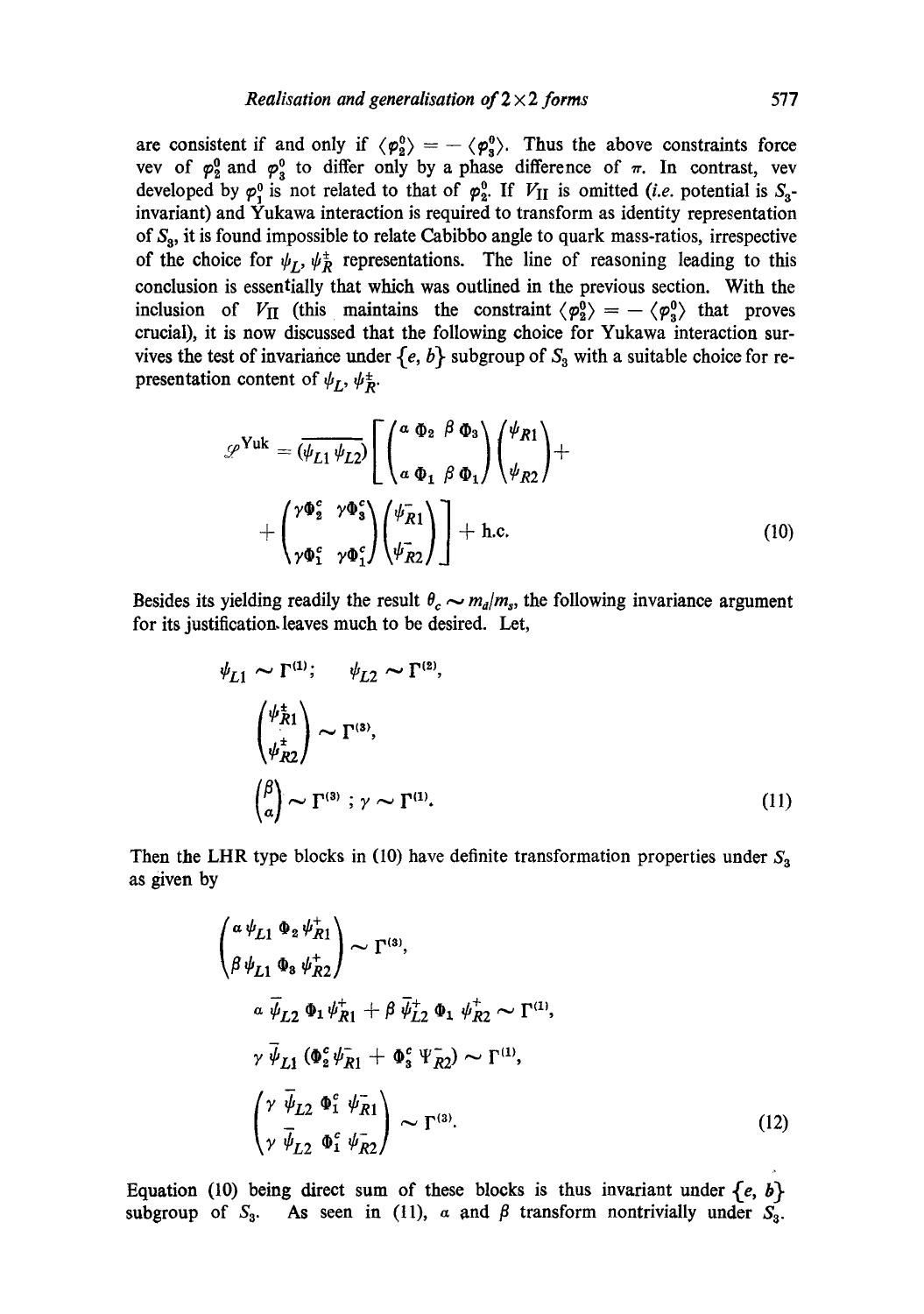are consistent if and only if  $\langle \varphi_2^0 \rangle = -\langle \varphi_3^0 \rangle$ . Thus the above constraints force vev of  $\varphi_2^0$  and  $\varphi_3^0$  to differ only by a phase difference of  $\pi$ . In contrast, vev developed by  $\varphi_1^0$  is not related to that of  $\varphi_2^0$ . If  $V_{II}$  is omitted *(i.e.* potential is  $S_3$ invariant) and Yukawa interaction is required to transform as identity representation of  $S_3$ , it is found impossible to relate Cabibbo angle to quark mass-ratios, irrespective of the choice for  $\psi_L$ ,  $\psi_R^{\pm}$  representations. The line of reasoning leading to this conclusion is essentially that which was outlined in the previous section. With the inclusion of  $V_{II}$  (this maintains the constraint  $\langle \varphi_2^0 \rangle = -\langle \varphi_3^0 \rangle$  that proves crucial), it is now discussed that the following choice for Yukawa interaction survives the test of invariance under  $\{e, b\}$  subgroup of  $S_3$  with a suitable choice for representation content of  $\psi_L$ ,  $\psi_R^*$ .

$$
\mathscr{L}^{\text{Yuk}} = (\overline{\psi_{L1} \psi_{L2}}) \left[ \begin{pmatrix} a & \Phi_2 & \beta & \Phi_3 \\ a & \Phi_1 & \beta & \Phi_1 \end{pmatrix} \begin{pmatrix} \psi_{R1} \\ \psi_{R2} \end{pmatrix} + \begin{pmatrix} \gamma \Phi_2^c & \gamma \Phi_3^c \\ \gamma \Phi_1^c & \gamma \Phi_1^c \end{pmatrix} \begin{pmatrix} \psi_{R1}^-\rangle \\ \psi_{R2}^-\end{pmatrix} \right] + \text{h.c.}
$$
\n(10)

Besides its yielding readily the result  $\theta_c \sim m_d/m_s$ , the following invariance argument for its justification.leaves much to be desired. Let,

$$
\psi_{L1} \sim \Gamma^{(1)}; \quad \psi_{L2} \sim \Gamma^{(2)},
$$

$$
\begin{pmatrix} \psi_{R1}^{\pm} \\ \psi_{R2}^{\pm} \end{pmatrix} \sim \Gamma^{(3)},
$$

$$
\begin{pmatrix} \beta \\ \alpha \end{pmatrix} \sim \Gamma^{(3)}; \gamma \sim \Gamma^{(1)}.
$$
 (11)

Then the LHR type blocks in (10) have definite transformation properties under  $S_3$ as given by

$$
\begin{pmatrix}\n\alpha \psi_{L1} & \Phi_2 \psi_{R1}^+ \\
\beta \psi_{L1} & \Phi_3 \psi_{R2}^+ \n\end{pmatrix} \sim \Gamma^{(3)},
$$
\n
$$
\alpha \overline{\psi}_{L2} & \Phi_1 \psi_{R1}^+ + \beta \overline{\psi}_{L2}^+ & \Phi_1 \psi_{R2}^+ \sim \Gamma^{(1)},
$$
\n
$$
\gamma \overline{\psi}_{L1} \left( \Phi_2^c \psi_{R1}^- + \Phi_3^c \Psi_{R2}^- \right) \sim \Gamma^{(1)},
$$
\n
$$
\begin{pmatrix}\n\gamma \overline{\psi}_{L2} & \Phi_1^c \psi_{R1}^-\n\end{pmatrix} \sim \Gamma^{(3)}.
$$
\n(12)

Equation (10) being direct sum of these blocks is thus invariant under  ${e, b}$ subgroup of  $S_3$ . As seen in (11),  $\alpha$  and  $\beta$  transform nontrivially under  $S_3$ .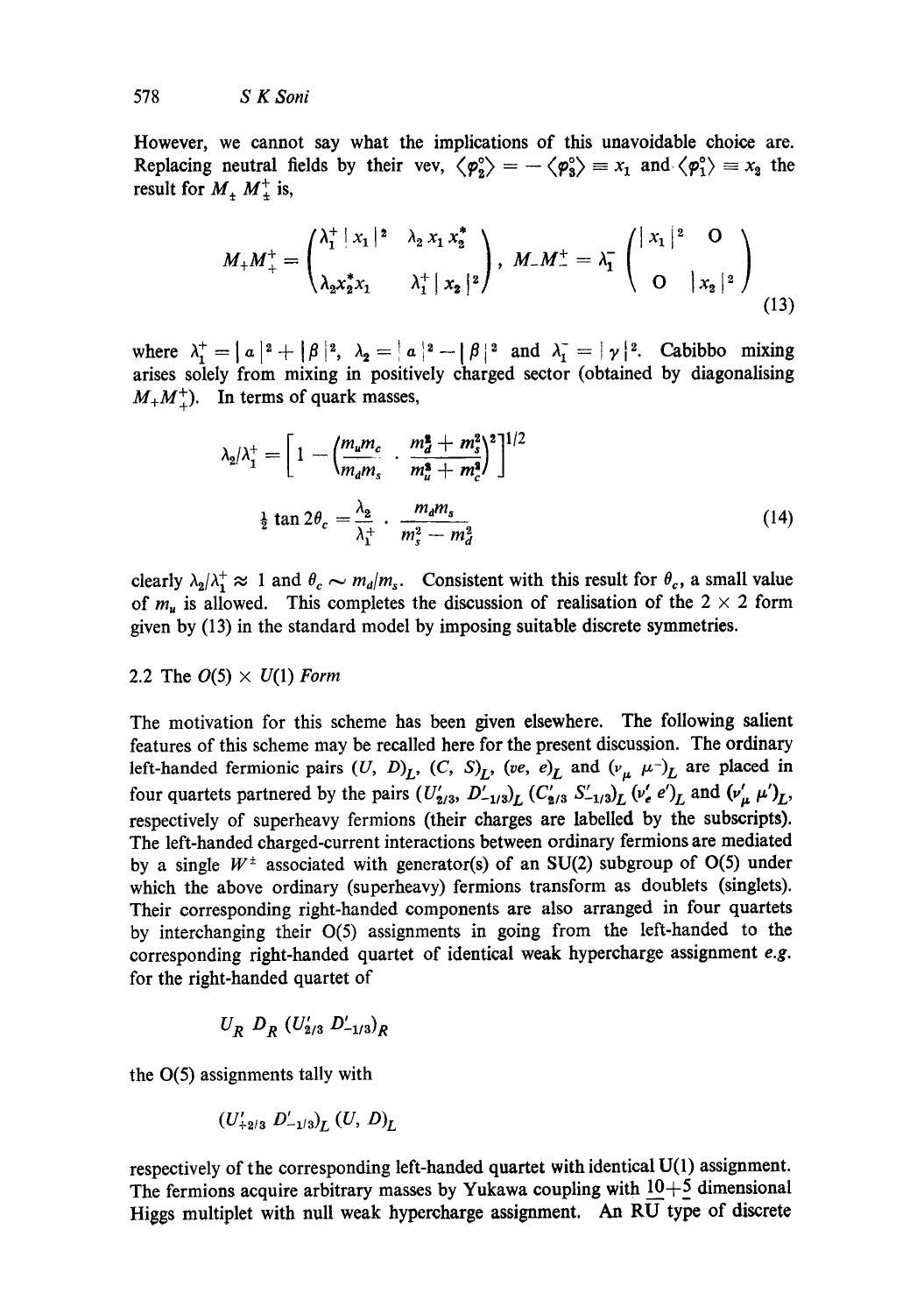However, we cannot say what the implications of this unavoidable choice are. Replacing neutral fields by their vev,  $\langle \varphi_2^{\circ} \rangle = -\langle \varphi_3^{\circ} \rangle = x_1$  and  $\langle \varphi_1^{\circ} \rangle = x_2$  the result for  $M_+ M_+^+$  is,

$$
M_{+}M_{+}^{+} = \begin{pmatrix} \lambda_{1}^{+} \mid x_{1} \mid^{2} & \lambda_{2} x_{1} x_{2}^{*} \\ \lambda_{2} x_{2}^{*} x_{1} & \lambda_{1}^{+} \mid x_{2} \mid^{2} \end{pmatrix}, \ M_{-}M_{-}^{+} = \lambda_{1}^{-} \begin{pmatrix} \mid x_{1} \mid^{2} & \mathbf{O} \\ \mathbf{O} & \mid x_{2} \mid^{2} \end{pmatrix}
$$
\n(13)

where  $\lambda_1^+ = |a|^2 + |\beta|^2$ ,  $\lambda_2 = |a|^2 - |\beta|^2$  and  $\lambda_1^- = |\gamma|^2$ . Cabibbo mixing arises solely from mixing in positively charged sector (obtained by diagonalising  $M_+M_+^+$ ). In terms of quark masses,

$$
\lambda_2/\lambda_1^+ = \left[1 - \left(\frac{m_u m_c}{m_d m_s} \cdot \frac{m_d^2 + m_s^2}{m_u^2 + m_c^2}\right)^2\right]^{1/2}
$$
  

$$
\frac{1}{2} \tan 2\theta_c = \frac{\lambda_2}{\lambda_1^+} \cdot \frac{m_d m_s}{m_s^2 - m_d^2}
$$
(14)

clearly  $\lambda_2/\lambda_1^+ \approx 1$  and  $\theta_c \sim m_d/m_s$ . Consistent with this result for  $\theta_c$ , a small value of  $m_u$  is allowed. This completes the discussion of realisation of the  $2 \times 2$  form given by (13) in the standard model by imposing suitable discrete symmetries.

# 2.2 The  $O(5) \times U(1)$  *Form*

The motivation for this scheme has been given elsewhere. The following salient features of this scheme may be recalled here for the present discussion. The ordinary left-handed fermionic pairs  $(U, D)_L$ ,  $(C, S)_L$ ,  $(ve, e)_L$  and  $(v_\mu \mu^{-1})_L$  are placed in four quartets partnered by the pairs  $(U_{\mathbf{z}/3}, D_{-1/3})_L$   $(C_{\mathbf{z}/3} \ S'_{-1/3})_L$   $(v'_e e')_L$  and  $(v'_\mu \ \mu')_L$ , respectively of superheavy fermions (their charges are labelled by the subscripts). The left-handed charged-current interactions between ordinary fermions are mediated by a single  $W^{\pm}$  associated with generator(s) of an SU(2) subgroup of O(5) under which the above ordinary (superheavy) fermions transform as doublets (singlets). Their corresponding right-handed components are also arranged in four quartets by interchanging their 0(5) assignments in going from the left-handed to the corresponding right-handed quartet of identical weak hypercharge assignment *e.g.*  for the right-handed quartet of

$$
U_R D_R (U'_{2/3} D'_{-1/3})_R
$$

the 0(5) assignments tally with

$$
(U'_{+2/3} D'_{-1/3})_{L} (U, D)_{L}
$$

respectively of the corresponding left-handed quartet with identical U(I) assignment. The fermions acquire arbitrary masses by Yukawa coupling with  $10+5$  dimensional Higgs multiplet with null weak hypercharge assignment. An  $R\overline{U}$  type of discrete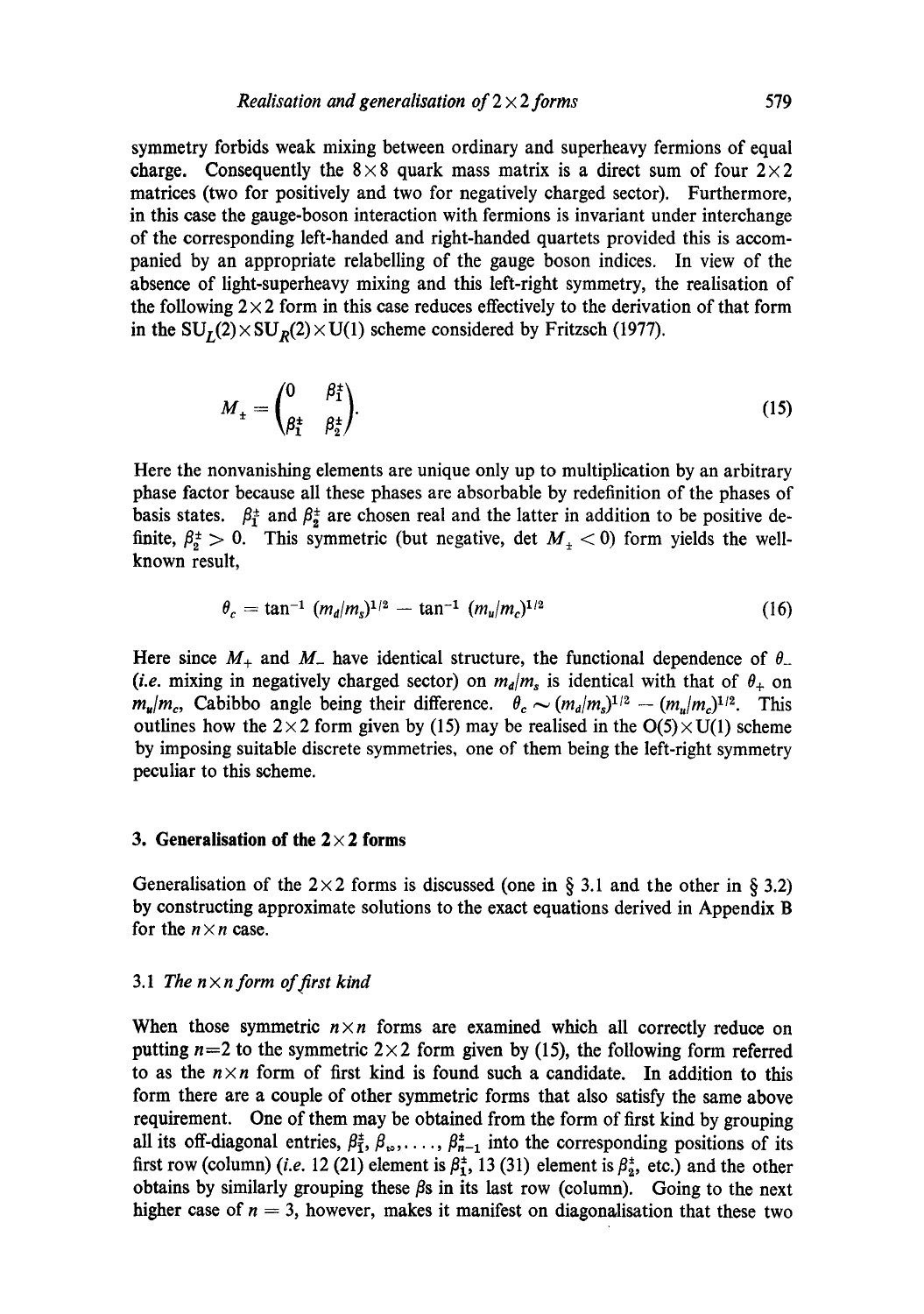symmetry forbids weak mixing between ordinary and superheavy fermions of equal charge. Consequently the  $8 \times 8$  quark mass matrix is a direct sum of four  $2 \times 2$ matrices (two for positively and two for negatively charged sector). Furthermore, in this case the gauge-boson interaction with fermions is invariant under interchange of the corresponding left-handed and right-handed quartets provided this is accompanied by an appropriate relabelling of the gauge boson indices. In view of the absence of light-superheavy mixing and this left-right symmetry, the realisation of the following  $2 \times 2$  form in this case reduces effectively to the derivation of that form in the  $SU_r(2) \times SU_p(2) \times U(1)$  scheme considered by Fritzsch (1977).

$$
M_{\pm} = \begin{pmatrix} 0 & \beta_1^{\pm} \\ \beta_1^{\pm} & \beta_2^{\pm} \end{pmatrix} . \tag{15}
$$

Here the nonvanishing elements are unique only up to multiplication by an arbitrary phase factor because all these phases are absorbable by redefinition of the phases of basis states.  $\beta_1^{\pm}$  and  $\beta_2^{\pm}$  are chosen real and the latter in addition to be positive definite,  $\beta_2^2 > 0$ . This symmetric (but negative, det  $M<sub>+</sub> < 0$ ) form yields the wellknown result,

$$
\theta_c = \tan^{-1} (m_d/m_s)^{1/2} - \tan^{-1} (m_u/m_c)^{1/2} \tag{16}
$$

Here since  $M_+$  and  $M_-$  have identical structure, the functional dependence of  $\theta_-$ *(i.e. mixing in negatively charged sector) on*  $m_d/m_s$  *is identical with that of*  $\theta_+$  *on*  $m_u/m_c$ , Cabibbo angle being their difference.  $\theta_c \sim (m_d/m_s)^{1/2} - (m_u/m_c)^{1/2}$ . This outlines how the  $2 \times 2$  form given by (15) may be realised in the  $O(5) \times U(1)$  scheme by imposing suitable discrete symmetries, one of them being the left-right symmetry peculiar to this scheme.

## **3. Generalisation of the 2 x 2 forms**

Generalisation of the  $2 \times 2$  forms is discussed (one in § 3.1 and the other in § 3.2) by constructing approximate solutions to the exact equations derived in Appendix B for the  $n \times n$  case.

#### 3.1 The  $n \times n$  form of first kind

When those symmetric  $n \times n$  forms are examined which all correctly reduce on putting  $n=2$  to the symmetric  $2\times 2$  form given by (15), the following form referred to as the  $n \times n$  form of first kind is found such a candidate. In addition to this form there are a couple of other symmetric forms that also satisfy the same above requirement. One of them may be obtained from the form of first kind by grouping all its off-diagonal entries,  $\beta_1^{\pm}, \beta_{\infty}, \ldots, \beta_{n-1}^{\pm}$  into the corresponding positions of its first row (column) *(i.e.* 12 (21) element is  $\beta_1^*$ , 13 (31) element is  $\beta_2^*$ , etc.) and the other obtains by similarly grouping these  $\beta s$  in its last row (column). Going to the next higher case of  $n = 3$ , however, makes it manifest on diagonalisation that these two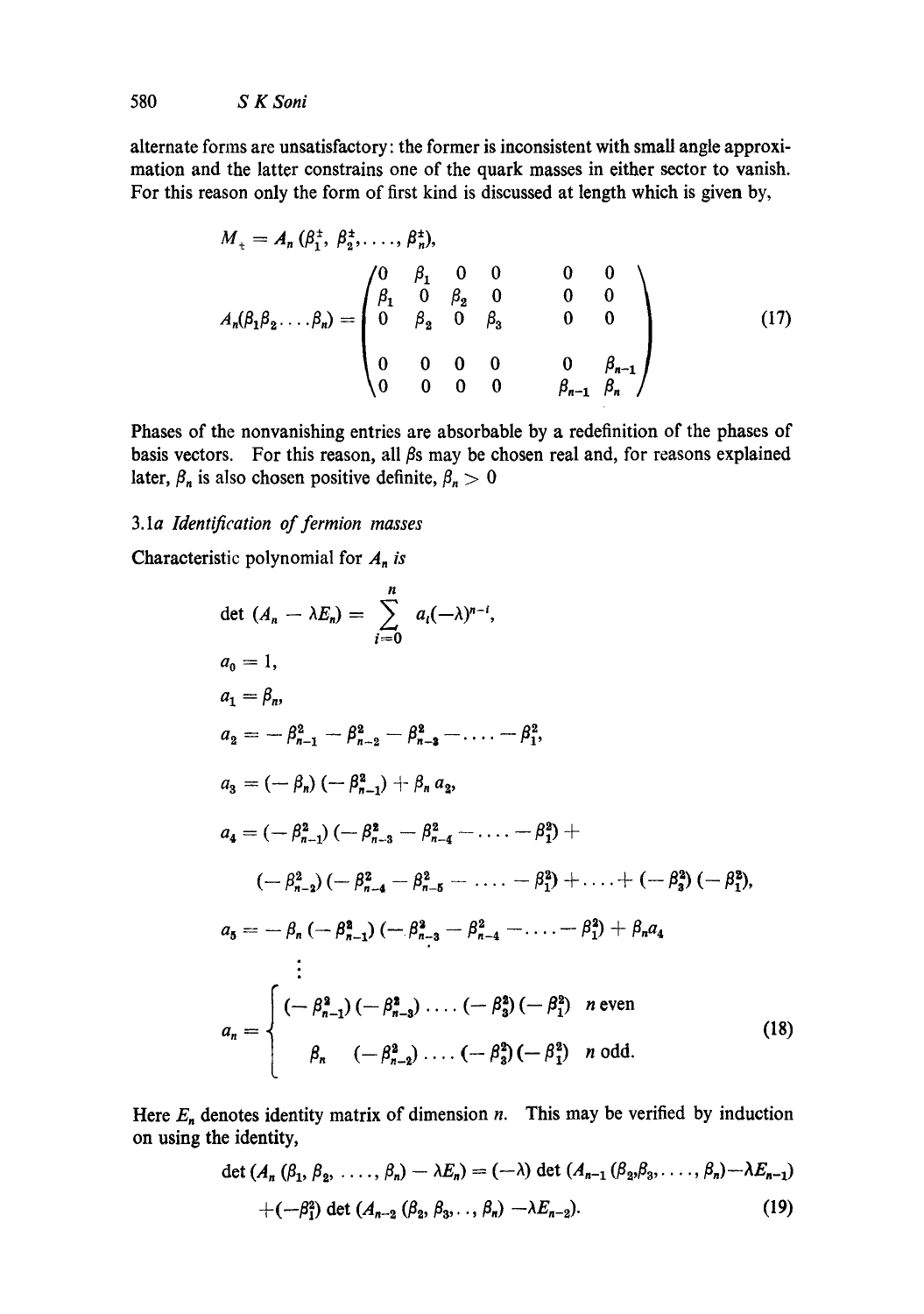alternate forms are unsatisfactory: the former is inconsistent with small angle approximation and the latter constrains one of the quark masses in either sector to vanish. For this reason only the form of first kind is discussed at length which is given by,

$$
M_{+} = A_{n} (\beta_{1}^{+}, \beta_{2}^{+}, \ldots, \beta_{n}^{+}),
$$
  
\n
$$
A_{n}(\beta_{1} \beta_{2} \ldots \beta_{n}) = \begin{pmatrix} 0 & \beta_{1} & 0 & 0 & 0 & 0 \\ \beta_{1} & 0 & \beta_{2} & 0 & 0 & 0 \\ 0 & \beta_{2} & 0 & \beta_{3} & 0 & 0 \\ 0 & 0 & 0 & 0 & \beta_{n-1} \\ 0 & 0 & 0 & 0 & \beta_{n-1} & \beta_{n} \end{pmatrix}
$$
 (17)

Phases of the nonvanishing entries are absorbable by a redefinition of the phases of basis vectors. For this reason, all  $\beta$ s may be chosen real and, for reasons explained later,  $\beta_n$  is also chosen positive definite,  $\beta_n > 0$ 

# 3.1a *Identification of fermion masses*

Characteristic polynomial for  $A_n$  is

det 
$$
(A_n - \lambda E_n) = \sum_{i=0}^{n} a_i(-\lambda)^{n-i}
$$
,  
\n $a_0 = 1$ ,  
\n $a_1 = \beta_n$ ,  
\n $a_2 = -\beta_{n-1}^2 - \beta_{n-2}^2 - \beta_{n-3}^2 - \dots - \beta_1^2$ ,  
\n $a_3 = (-\beta_n) (-\beta_{n-1}^2) + \beta_n a_2$ ,  
\n $a_4 = (-\beta_{n-1}^2) (-\beta_{n-3}^2 - \beta_{n-4}^2 - \dots - \beta_1^2) +$   
\n $(-\beta_{n-2}^2) (-\beta_{n-4}^2 - \beta_{n-5}^2 - \dots - \beta_1^2) + \dots + (-\beta_3^2) (-\beta_1^2)$ ,  
\n $a_5 = -\beta_n (-\beta_{n-1}^2) (-\beta_{n-3}^2 - \beta_{n-4}^2 - \dots - \beta_1^2) + \beta_n a_4$   
\n $\vdots$   
\n $a_n = \begin{cases} (-\beta_{n-1}^2) (-\beta_{n-3}^2) \dots (-\beta_3^2) (-\beta_1^2) & n \text{ even} \\ \beta_n & (-\beta_{n-2}^2) \dots (-\beta_3^2) (-\beta_1^2) & n \text{ odd.} \end{cases}$  (18)

Here  $E_n$  denotes identity matrix of dimension n. This may be verified by induction on using the identity,

$$
\det (A_n (\beta_1, \beta_2, \ldots, \beta_n) - \lambda E_n) = (-\lambda) \det (A_{n-1} (\beta_2, \beta_3, \ldots, \beta_n) - \lambda E_{n-1})
$$
  
+ 
$$
(-\beta_1^2) \det (A_{n-2} (\beta_2, \beta_3, \ldots, \beta_n) - \lambda E_{n-2}).
$$
 (19)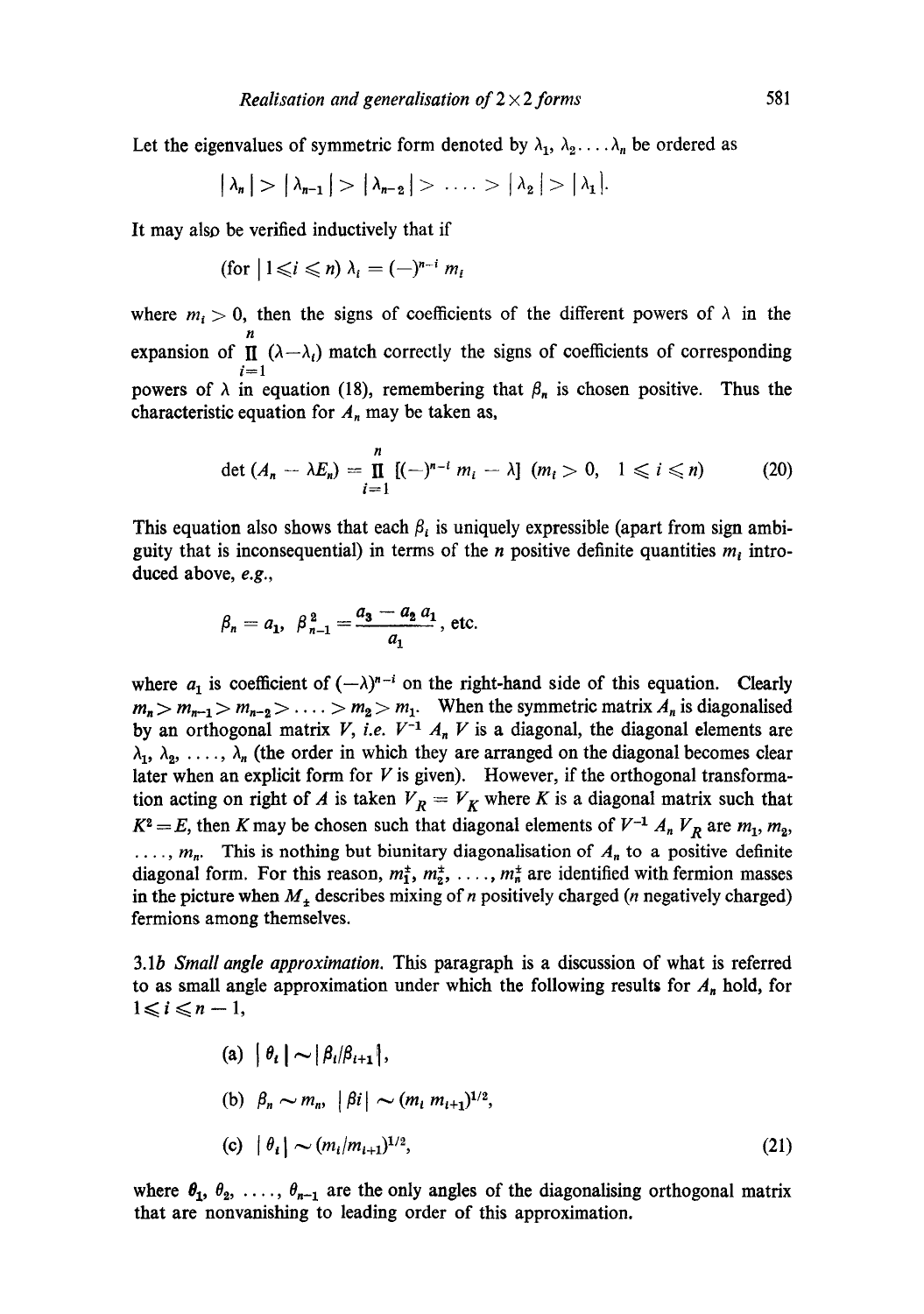Let the eigenvalues of symmetric form denoted by  $\lambda_1, \lambda_2, \ldots, \lambda_n$  be ordered as

$$
|\lambda_n| > |\lambda_{n-1}| > |\lambda_{n-2}| > \ldots > |\lambda_2| > |\lambda_1|.
$$

It may also be verified inductively that if

$$
(\text{for } |1 \leq i \leq n) \lambda_i = (-)^{n-i} m_i
$$

where  $m_i > 0$ , then the signs of coefficients of the different powers of  $\lambda$  in the n expansion of  $\Pi$  ( $\lambda - \lambda$ ) match correctly the signs of coefficients of corresponding  $i=1$ powers of  $\lambda$  in equation (18), remembering that  $\beta_n$  is chosen positive. Thus the characteristic equation for  $A_n$  may be taken as,

$$
\det (A_n - \lambda E_n) = \prod_{i=1}^n [(-)^{n-i} m_i - \lambda] \ (m_i > 0, \quad 1 \leq i \leq n) \tag{20}
$$

This equation also shows that each  $\beta_i$  is uniquely expressible (apart from sign ambiguity that is inconsequential) in terms of the *n* positive definite quantities  $m_i$  introduced above, *e.g.,* 

$$
\beta_n = a_1, \ \beta_{n-1}^2 = \frac{a_3 - a_2 a_1}{a_1}
$$
, etc.

where  $a_1$  is coefficient of  $(-\lambda)^{n-i}$  on the right-hand side of this equation. Clearly  $m_n > m_{n-1} > m_{n-2} > \ldots > m_2 > m_1$ . When the symmetric matrix  $A_n$  is diagonalised by an orthogonal matrix *V*, *i.e.*  $V^{-1}$   $A_n$  *V* is a diagonal, the diagonal elements are  $\lambda_1, \lambda_2, \ldots, \lambda_n$  (the order in which they are arranged on the diagonal becomes clear later when an explicit form for  $V$  is given). However, if the orthogonal transformation acting on right of A is taken  $V_R = V_K$  where K is a diagonal matrix such that  $K^2 = E$ , then K may be chosen such that diagonal elements of  $V^{-1} A_n V_R$  are  $m_1, m_2,$  $..., m_n$ . This is nothing but biunitary diagonalisation of  $A_n$  to a positive definite diagonal form. For this reason,  $m_1^2$ ,  $m_2^2$ , ...,  $m_n^2$  are identified with fermion masses in the picture when  $M_{\pm}$  describes mixing of n positively charged (n negatively charged) fermions among themselves.

3.1b *Small angle approximation.* This paragraph is a discussion of what is referred to as small angle approximation under which the following results for  $A_n$  hold, for  $1 \leq i \leq n-1$ ,

(a) 
$$
|\theta_i| \sim |\beta_i/\beta_{i+1}|
$$
,  
\n(b)  $\beta_n \sim m_n$ ,  $|\beta_i| \sim (m_i m_{i+1})^{1/2}$ ,  
\n(c)  $|\theta_i| \sim (m_i/m_{i+1})^{1/2}$ , (21)

where  $\theta_1, \theta_2, \ldots, \theta_{n-1}$  are the only angles of the diagonalising orthogonal matrix that are nonvanishing to leading order of this approximation.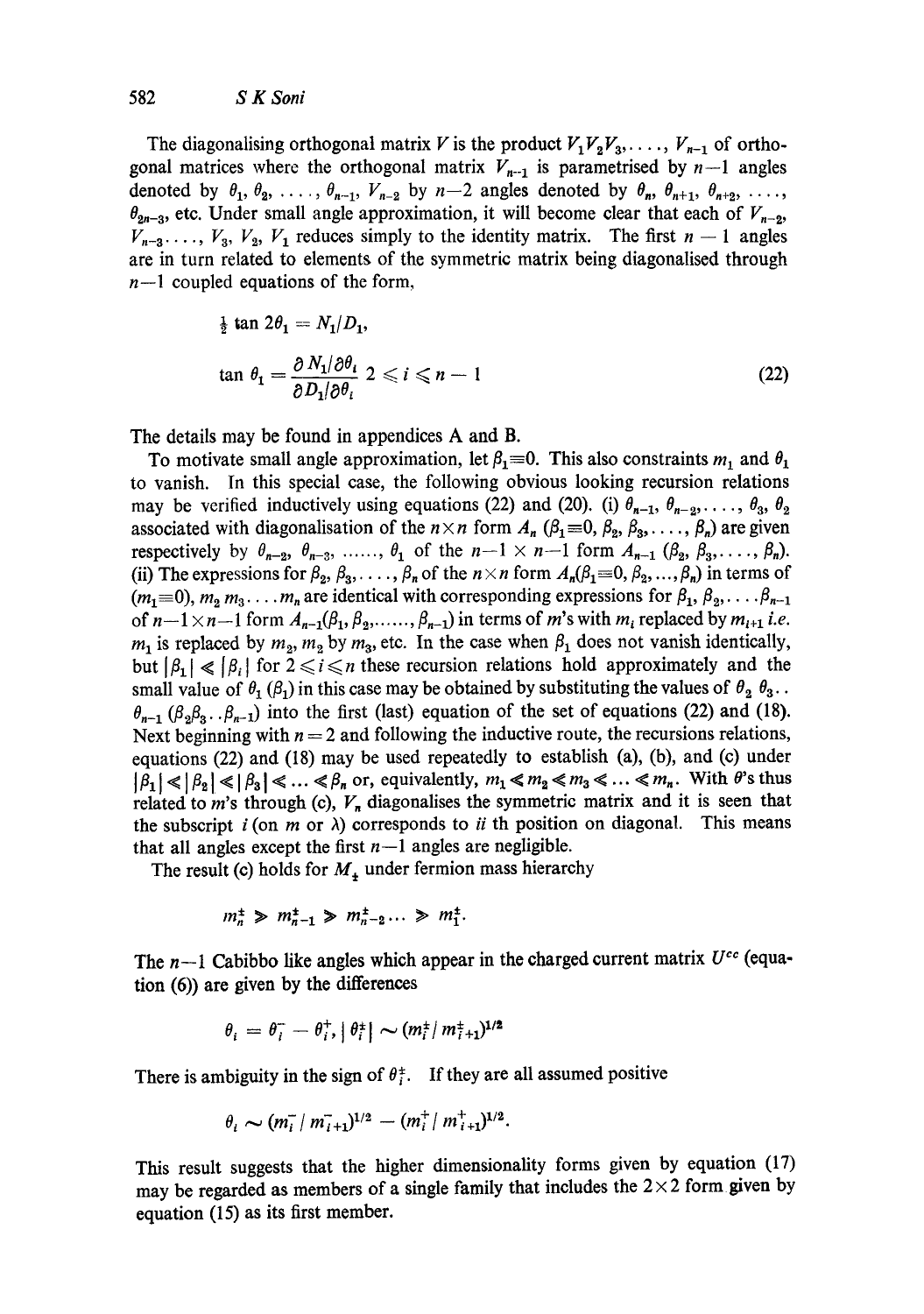The diagonalising orthogonal matrix V is the product  $V_1V_2V_3, \ldots, V_{n-1}$  of orthogonal matrices where the orthogonal matrix  $V_{n-1}$  is parametrised by  $n-1$  angles denoted by  $\theta_1, \theta_2, \ldots, \theta_{n-1}, V_{n-2}$  by  $n-2$  angles denoted by  $\theta_n, \theta_{n+1}, \theta_{n+2}, \ldots$  $\theta_{2n-3}$ , etc. Under small angle approximation, it will become clear that each of  $V_{n-2}$ ,  $V_{n-3}$ ...,  $V_3$ ,  $V_2$ ,  $V_1$  reduces simply to the identity matrix. The first  $n-1$  angles are in turn related to elements of the symmetric matrix being diagonalised through  $n-1$  coupled equations of the form,

$$
\frac{1}{2} \tan 2\theta_1 = N_1/D_1,
$$
  

$$
\tan \theta_1 = \frac{\partial N_1/\partial \theta_i}{\partial D_1/\partial \theta_i} \quad 2 \leq i \leq n-1
$$
 (22)

The details may be found in appendices A and B.

To motivate small angle approximation, let  $\beta_1=0$ . This also constraints m<sub>1</sub> and  $\theta_1$ to vanish. In this special case, the following obvious looking recursion relations may be verified inductively using equations (22) and (20). (i)  $\theta_{n-1}, \theta_{n-2}, \ldots, \theta_3, \theta_2$ associated with diagonalisation of the  $n \times n$  form  $A_n$  ( $\beta_1 = 0, \beta_2, \beta_3, \ldots, \beta_n$ ) are given respectively by  $\theta_{n-2}$ ,  $\theta_{n-3}$ , .....,  $\theta_1$  of the  $n-1 \times n-1$  form  $A_{n-1}$  ( $\beta_2$ ,  $\beta_3$ ,...,  $\beta_n$ ). (ii) The expressions for  $\beta_2, \beta_3, \ldots, \beta_n$  of the  $n \times n$  form  $A_n(\beta_1=0, \beta_2, \ldots, \beta_n)$  in terms of  $(m_1=0), m_2 m_3 \ldots m_n$  are identical with corresponding expressions for  $\beta_1, \beta_2, \ldots, \beta_{n-1}$ of  $n-1 \times n-1$  form  $A_{n-1}(\beta_1, \beta_2, \ldots, \beta_{n-1})$  in terms of m's with  $m_i$  replaced by  $m_{i+1}$  *i.e.*  $m_1$  is replaced by  $m_2$ ,  $m_2$  by  $m_3$ , etc. In the case when  $\beta_1$  does not vanish identically, but  $|\beta_1| \ll |\beta_i|$  for  $2 \le i \le n$  these recursion relations hold approximately and the small value of  $\theta_1$  ( $\beta_1$ ) in this case may be obtained by substituting the values of  $\theta_2$   $\theta_3$ .  $\theta_{n-1}$  ( $\beta_2\beta_3...\beta_{n-1}$ ) into the first (last) equation of the set of equations (22) and (18). Next beginning with  $n = 2$  and following the inductive route, the recursions relations, equations (22) and (18) may be used repeatedly to establish (a), (b), and (c) under  $|\beta_1| \ll |\beta_2| \ll |\beta_3| \ll ... \ll \beta_n$  or, equivalently,  $m_1 \ll m_2 \ll m_3 \ll ... \ll m_n$ . With  $\theta$ 's thus related to *m*'s through (c),  $V_n$  diagonalises the symmetric matrix and it is seen that the subscript  $i$  (on  $m$  or  $\lambda$ ) corresponds to  $ii$  th position on diagonal. This means that all angles except the first  $n-1$  angles are negligible.

The result (c) holds for  $M_{+}$  under fermion mass hierarchy

$$
m_n^{\pm} \ge m_{n-1}^{\pm} \ge m_{n-2}^{\pm} ... \ge m_1^{\pm}.
$$

The  $n-1$  Cabibbo like angles which appear in the charged current matrix  $U^{cc}$  (equation (6)) are given by the differences

$$
\theta_i = \theta_i^- - \theta_i^+, |\theta_i^{\pm}| \sim (m_i^{\pm}/m_{i+1}^{\pm})^{1/2}
$$

There is ambiguity in the sign of  $\theta_i^{\pm}$ . If they are all assumed positive

$$
\theta_i \sim (m_i^- / m_{i+1}^-)^{1/2} - (m_i^+ / m_{i+1}^+)^{1/2}.
$$

This result suggests that the higher dimensionality forms given by equation (17) may be regarded as members of a single family that includes the  $2 \times 2$  form given by equation (15) as its first member.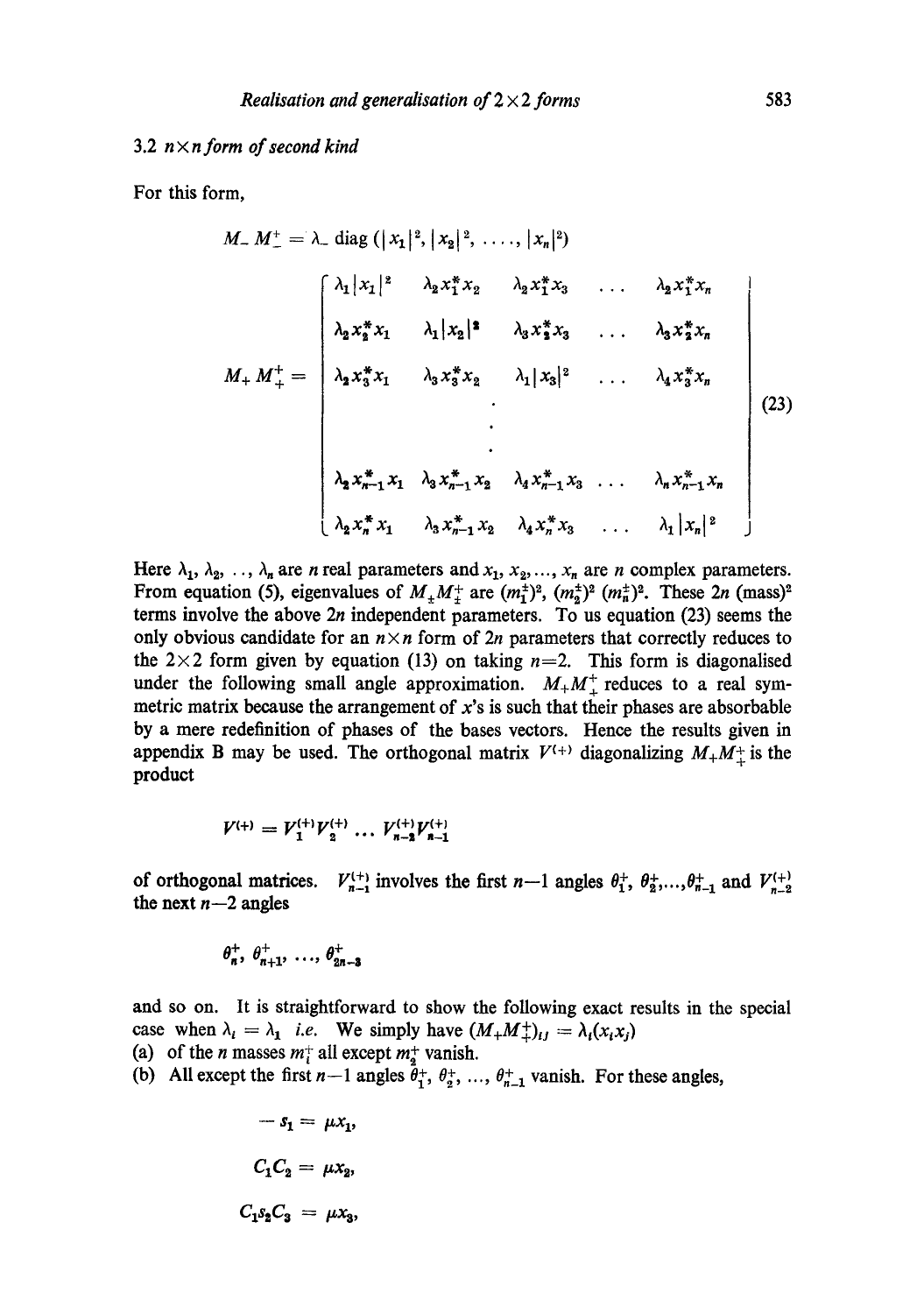# 3.2 n X *n form of second kind*

For this form,

$$
M_{-} M_{-}^{+} = \lambda_{-} \text{ diag }(|x_{1}|^{2}, |x_{2}|^{2}, \ldots, |x_{n}|^{2})
$$
\n
$$
\begin{bmatrix}\n\lambda_{1} |x_{1}|^{2} & \lambda_{2} x_{1}^{*} x_{2} & \lambda_{2} x_{1}^{*} x_{3} & \ldots & \lambda_{2} x_{1}^{*} x_{n} \\
\lambda_{2} x_{2}^{*} x_{1} & \lambda_{1} |x_{2}|^{2} & \lambda_{3} x_{2}^{*} x_{3} & \ldots & \lambda_{3} x_{2}^{*} x_{n} \\
\lambda_{2} x_{3}^{*} x_{1} & \lambda_{3} x_{3}^{*} x_{2} & \lambda_{1} |x_{3}|^{2} & \ldots & \lambda_{4} x_{3}^{*} x_{n} \\
\vdots & \vdots & \vdots & \ddots & \vdots \\
\lambda_{2} x_{n-1}^{*} x_{1} & \lambda_{3} x_{n-1}^{*} x_{2} & \lambda_{4} x_{n-1}^{*} x_{3} & \ldots & \lambda_{n} x_{n-1}^{*} x_{n} \\
\lambda_{2} x_{n}^{*} x_{1} & \lambda_{3} x_{n-1}^{*} x_{2} & \lambda_{4} x_{n}^{*} x_{3} & \ldots & \lambda_{1} |x_{n}|^{2}\n\end{bmatrix}
$$
\n(23)

Here  $\lambda_1, \lambda_2, \ldots, \lambda_n$  are *n* real parameters and  $x_1, x_2, \ldots, x_n$  are *n* complex parameters. From equation (5), eigenvalues of  $M_{\pm}M_{\pm}^{+}$  are  $(m_{1}^{\pm})^{2}$ ,  $(m_{2}^{\pm})^{2}$ . These  $2n$  (mass)<sup>2</sup> terms involve the above  $2n$  independent parameters. To us equation (23) seems the only obvious candidate for an  $n \times n$  form of 2n parameters that correctly reduces to the  $2\times 2$  form given by equation (13) on taking  $n=2$ . This form is diagonalised under the following small angle approximation.  $M_+M_+^+$  reduces to a real symmetric matrix because the arrangement of  $x$ 's is such that their phases are absorbable by a mere redefinition of phases of the bases vectors. Hence the results given in appendix B may be used. The orthogonal matrix  $V^{(+)}$  diagonalizing  $M_+M_+^+$  is the product

$$
V^{(+)}=V_1^{(+)}V_2^{(+)}\ldots V_{n-2}^{(+)}V_{n-1}^{(+)}
$$

of orthogonal matrices.  $V_{n-1}^{(+)}$  involves the first  $n-1$  angles  $\theta_1^+$ ,  $\theta_2^+$ ,..., $\theta_{n-1}^+$  and  $V_{n-2}^{(+)}$ the next  $n-2$  angles

$$
\theta_n^+,\ \theta_{n+1}^+,\ \ldots,\ \theta_{2n-3}^+
$$

and so on. It is straightforward to show the following exact results in the special case when  $\lambda_i = \lambda_1$  *i.e.* We simply have  $(M_+M_+^+)_i = \lambda_i(x_ix_j)$ (a) of the *n* masses  $m_i^+$  all except  $m_i^+$  vanish.

(b) All except the first  $n-1$  angles  $\bar{\theta}^+_1$ ,  $\theta^+_2$ , ...,  $\theta^+_{n-1}$  vanish. For these angles,

$$
-s_1 = \mu x_1,
$$
  

$$
C_1 C_2 = \mu x_2,
$$
  

$$
C_1 s_2 C_3 = \mu x_3,
$$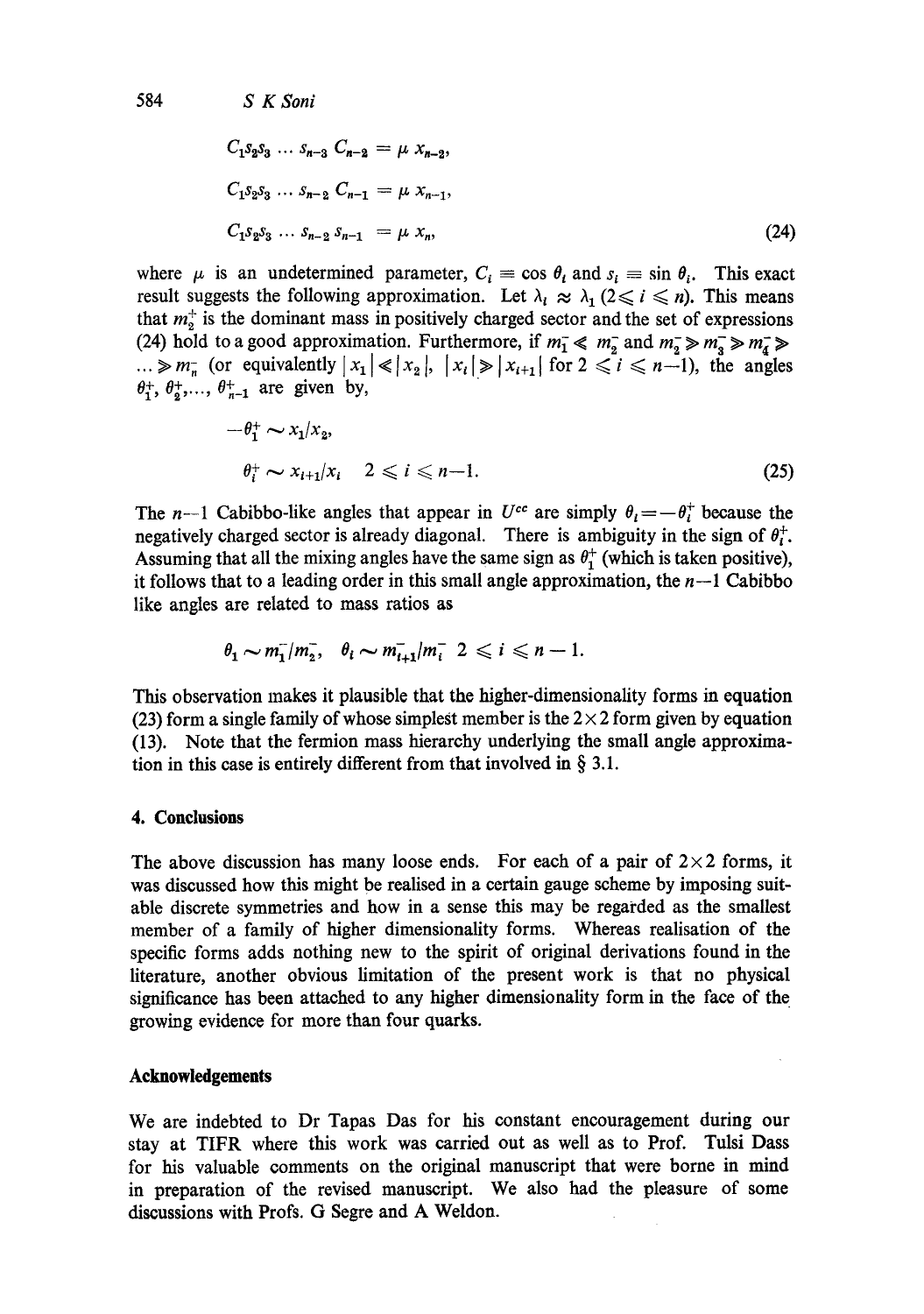$$
C_1 s_2 s_3 \dots s_{n-3} C_{n-2} = \mu x_{n-2},
$$
  
\n
$$
C_1 s_2 s_3 \dots s_{n-2} C_{n-1} = \mu x_{n-1},
$$
  
\n
$$
C_1 s_2 s_3 \dots s_{n-2} s_{n-1} = \mu x_n,
$$
\n(24)

where  $\mu$  is an undetermined parameter,  $C_i \equiv \cos \theta_i$  and  $s_i \equiv \sin \theta_i$ . This exact result suggests the following approximation. Let  $\lambda_i \approx \lambda_i (2 \leq i \leq n)$ . This means that  $m<sub>2</sub><sup>+</sup>$  is the dominant mass in positively charged sector and the set of expressions (24) hold to a good approximation. Furthermore, if  $m_1 \ll m_2$  and  $m_2 \gg m_3 \gg m_4 \gg m_5$  $\ldots \gg m_{\overline{n}}$  (or equivalently  $|x_1| \ll |x_2|, |x_i| \gg |x_{i+1}|$  for  $2 \leq i \leq n-1$ ), the angles  $\theta_1^+$ ,  $\theta_2^+$ ,...,  $\theta_{n-1}^+$  are given by,

$$
-\theta_1^+ \sim x_1/x_2,
$$
  
\n
$$
\theta_i^+ \sim x_{i+1}/x_i \quad 2 \leqslant i \leqslant n-1.
$$
\n(25)

The n--1 Cabibbo-like angles that appear in  $U^{cc}$  are simply  $\theta_i = -\theta_i^+$  because the negatively charged sector is already diagonal. There is ambiguity in the sign of  $\theta_t^+$ . Assuming that all the mixing angles have the same sign as  $\theta_1^+$  (which is taken positive), it follows that to a leading order in this small angle approximation, the  $n-1$  Cabibbo like angles are related to mass ratios as

$$
\theta_1 \sim m_1^2/m_2^2
$$
,  $\theta_i \sim m_{i+1}^2/m_i^2$   $2 \le i \le n-1$ .

This observation makes it plausible that the higher-dimensionality forms in equation (23) form a single family of whose simplest member is the  $2 \times 2$  form given by equation (13). Note that the fermion mass hierarchy underlying the small angle approximation in this case is entirely different from that involved in  $\S$  3.1.

# **4. Conclusions**

The above discussion has many loose ends. For each of a pair of  $2 \times 2$  forms, it was discussed how this might be realised in a certain gauge scheme by imposing suitable discrete symmetries and how in a sense this may be regarded as the smallest member of a family of higher dimensionality forms. Whereas realisation of the specific forms adds nothing new to the spirit of original derivations found in the literature, another obvious limitation of the present work is that no physical significance has been attached to any higher dimensionality form in the face of the growing evidence for more than four quarks.

## **Acknowledgements**

We are indebted to Dr Tapas Das for his constant encouragement during our stay at TIFR where this work was carried out as well as to Prof. Tulsi Dass for his valuable comments on the original manuscript that were borne in mind in preparation of the revised manuscript. We also had the pleasure of some discussions with Profs. G Segre and A Weldon.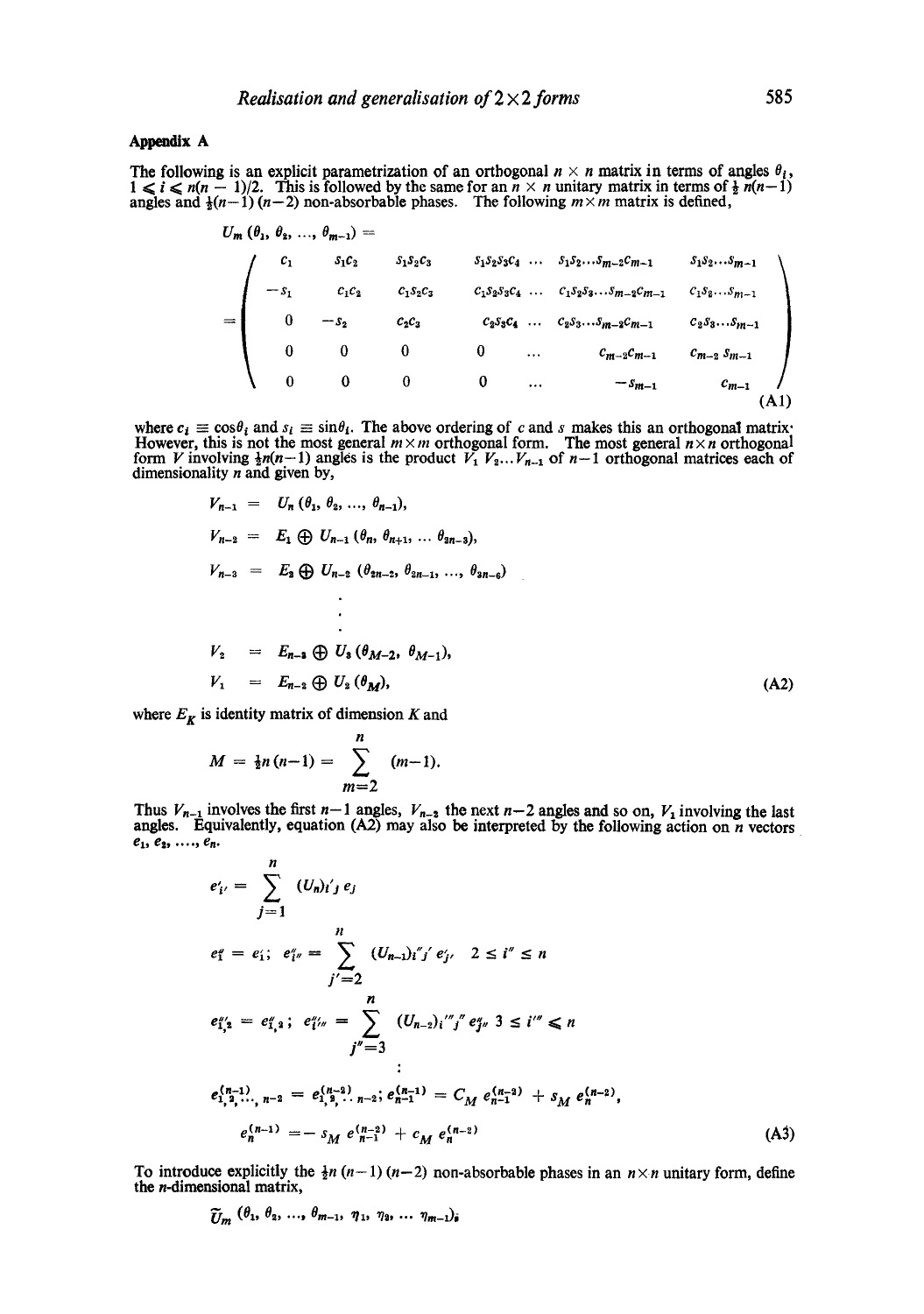#### **Appendix A**

The following is an explicit parametrization of an orthogonal  $n \times n$  matrix in terms of angles  $\theta_i$ ,  $1 \leq i \leq n(n-1)/2$ . This is followed by the same for an  $n \times n$  unitary matrix in terms of  $\frac{1}{2}n(n-1)$ angles and  $\frac{1}{2}(n-1)(n-2)$  non-absorbable phases. The following  $m \times m$  matrix is defined,

$$
U_{m} (\theta_{1}, \theta_{2}, ..., \theta_{m-1}) =
$$
\n
$$
= \begin{pmatrix}\nc_{1} & s_{1}c_{2} & s_{1}s_{2}c_{3} & s_{1}s_{2}s_{3}c_{4} & \dots & s_{1}s_{2}...s_{m-2}c_{m-1} & s_{1}s_{2}...s_{m-1} \\
-s_{1} & c_{1}c_{2} & c_{1}s_{2}c_{3} & c_{1}s_{2}s_{3}c_{4} & \dots & c_{1}s_{2}s_{3}...s_{m-2}c_{m-1} & c_{1}s_{2}...s_{m-1} \\
0 & -s_{2} & c_{2}c_{3} & c_{2}s_{3}c_{4} & \dots & c_{2}s_{3}...s_{m-2}c_{m-1} & c_{2}s_{3}...s_{m-1} \\
0 & 0 & 0 & 0 & \dots & c_{m-2}c_{m-1} & c_{m-2}s_{m-1} \\
0 & 0 & 0 & 0 & \dots & -s_{m-1} & c_{m-1} \\
0 & 0 & 0 & 0 & \dots & -s_{m-1} & c_{m-1}\n\end{pmatrix}
$$
\n(A1)

where  $c_i \equiv \cos\theta_i$  and  $s_i \equiv \sin\theta_i$ . The above ordering of c and s makes this an orthogonal matrix: However, this is not the most general  $m \times m$  orthogonal form. The most general  $n \times n$  orthogonal form V involving  $\frac{1}{2}n(n-1)$  angles is the product  $V_1 V_2... V_{n-1}$  of  $n-1$  orthogonal matrices each of dimensionality  $n$  and given by,

$$
V_{n-1} = U_n (\theta_1, \theta_2, ..., \theta_{n-1}),
$$
  
\n
$$
V_{n-2} = E_1 \oplus U_{n-1} (\theta_n, \theta_{n+1}, ..., \theta_{2n-3}),
$$
  
\n
$$
V_{n-3} = E_2 \oplus U_{n-2} (\theta_{2n-2}, \theta_{2n-1}, ..., \theta_{2n-6})
$$
  
\n
$$
\vdots
$$
  
\n
$$
V_2 = E_{n-3} \oplus U_3 (\theta_{M-2}, \theta_{M-1}),
$$
  
\n
$$
V_1 = E_{n-2} \oplus U_2 (\theta_M),
$$
  
\n(A2)

where  $E_K$  is identity matrix of dimension K and

$$
M = \frac{1}{2}n(n-1) = \sum_{m=2}^{n} (m-1).
$$

Thus  $V_{n-1}$  involves the first  $n-1$  angles,  $V_{n-2}$  the next  $n-2$  angles and so on,  $V_1$  involving the last angles. Equivalently, equation (A2) may also be interpreted by the following action on  $n$  vectors  $e_1, e_2, \ldots, e_n.$ 

$$
e'_{i'} = \sum_{j=1}^{n} (U_{n})_{i'j} e_{j}
$$
  
\n
$$
e''_{1} = e'_{1}; e''_{i''} = \sum_{j'=2}^{n} (U_{n-1})_{i'j'} e'_{j'} 2 \leq i'' \leq n
$$
  
\n
$$
e''_{1,2} = e''_{1,2}; e''_{1''} = \sum_{j''=3}^{n} (U_{n-2})_{i''j} e''_{j''} 3 \leq i'' \leq n
$$
  
\n
$$
e_{1,2}^{(n-1)}, e_{1,3}^{(n-1)}, e_{1,4}^{(n-2)}, e_{1,5}^{(n-1)} = C_{M} e_{n-1}^{(n-2)} + S_{M} e_{n-2}^{(n-2)},
$$
  
\n
$$
e_{n}^{(n-1)} = -S_{M} e_{n-1}^{(n-2)} + C_{M} e_{n-1}^{(n-2)}
$$
\n(A3)

To introduce explicitly the  $\frac{1}{2}n(n-1)(n-2)$  non-absorbable phases in an  $n \times n$  unitary form, define the n-dimensional matrix,

 $\widetilde{U}_m$  ( $\theta_1, \theta_2, ..., \theta_{m-1}, \eta_1, \eta_2, ..., \eta_{m-1}$ )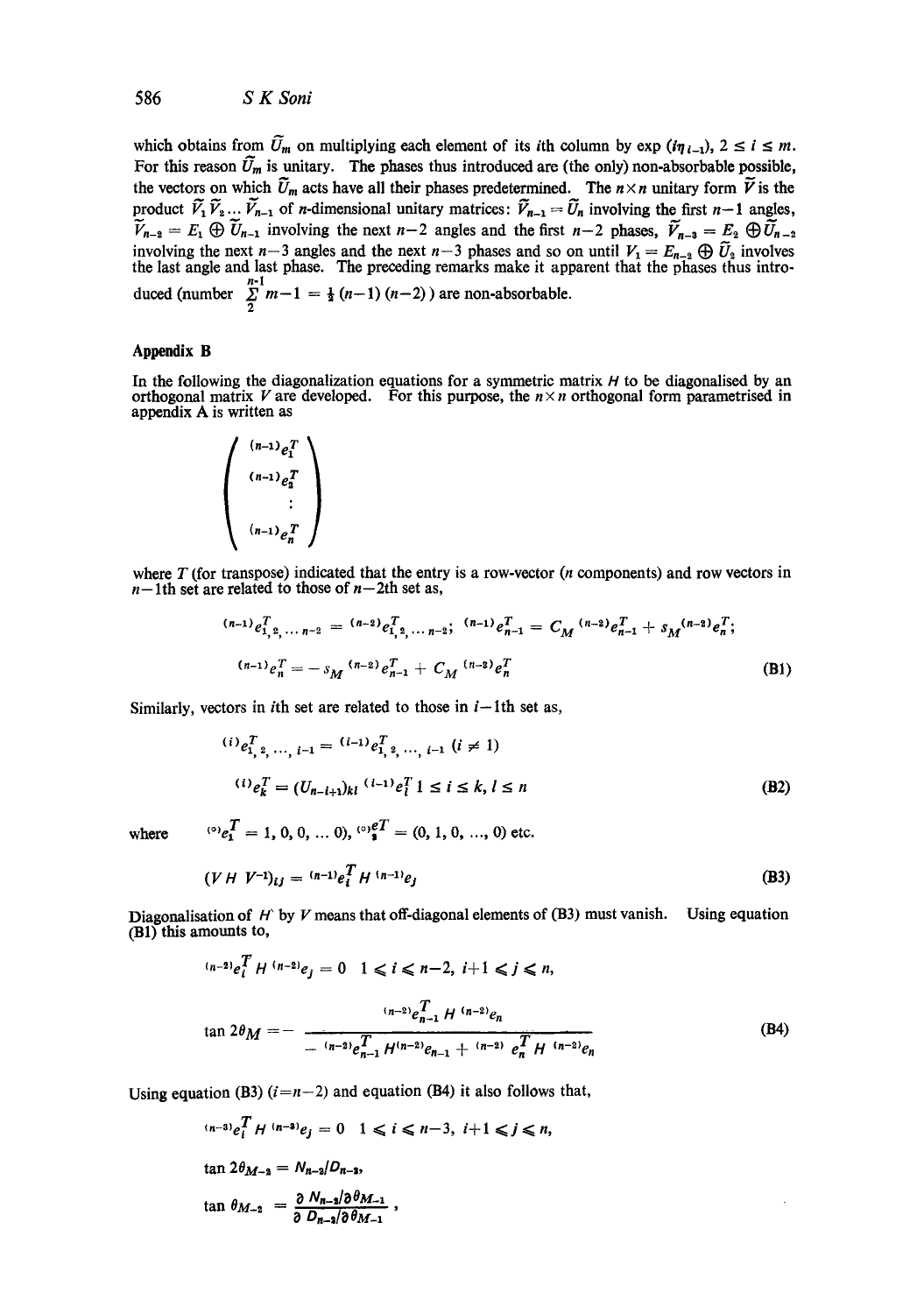which obtains from  $\tilde{U}_m$  on multiplying each element of its *i*th column by exp  $(i\eta_{l-1}), 2 \le i \le m$ . For this reason  $\tilde{U}_m$  is unitary. The phases thus introduced are (the only) non-absorbable possible, the vectors on which  $\tilde{U}_m$  acts have all their phases predetermined. The  $n \times n$  unitary form  $\tilde{V}$  is the product  $V_1V_2... V_{n-1}$  of n-dimensional unitary matrices:  $V_{n-1} = U_n$  involving the first  $n-1$  angles,  $V_{n-2} = E_1 \oplus U_{n-1}$  involving the next  $n-2$  angles and the first  $n-2$  phases,  $V_{n-3} = E_2 \oplus U_{n-2}$ involving the next  $n-3$  angles and the next  $n-3$  phases and so on until  $V_1 = E_{n-2} \oplus U_2$  involves the last angle and last phase. The preceding remarks make it apparent that the phases thus introduced (number  $\sum_{n=1}^{n-1} m-1 = \frac{1}{2}(n-1)(n-2)$ ) are non-absorbable.

#### **Appendix B**

In the following the diagonalization equations for a symmetric matrix  $H$  to be diagonalised by an orthogonal matrix V are developed. For this purpose, the  $n \times n$  orthogonal form parametrised in appendix A is written as

$$
\begin{pmatrix}\n(n-1)e_1^T \\
(n-1)e_2^T \\
\vdots \\
(n-1)e_n^T\n\end{pmatrix}
$$

where  $T$  (for transpose) indicated that the entry is a row-vector ( $n$  components) and row vectors in  $n-1$ th set are related to those of  $n-2$ th set as,

$$
^{(n-1)}e_{1,2,\dots n-2}^T = {}^{(n-2)}e_{1,2,\dots n-2}^T; {}^{(n-1)}e_{n-1}^T = C_M {}^{(n-2)}e_{n-1}^T + s_M {}^{(n-2)}e_n^T;
$$
  

$$
{}^{(n-1)}e_n^T = -s_M {}^{(n-2)}e_{n-1}^T + C_M {}^{(n-2)}e_n^T
$$
 (B1)

Similarly, vectors in *i*th set are related to those in  $i-1$ th set as,

$$
\begin{aligned} (i) \, e_{1, \, 2, \, \cdots, \, i-1}^T &= \, ^{(i-1)} e_{1, \, 2, \, \cdots, \, i-1}^T \, (i \neq 1) \\ (i) \, e_k^T &= \, (U_{n-i+1})_{kl} \, ^{(i-1)} e_l^T \, 1 \leq i \leq k, \, l \leq n \end{aligned} \tag{B2}
$$

where

$$
{}^{\circ}\circ e_1^T=1, 0, 0, ... 0), {}^{\circ}\circ e_1^T= (0, 1, 0, ..., 0) \text{ etc.}
$$

$$
(V H V^{-1})_{ij} = {}^{(n-1)}e_i^T H {}^{(n-1)}e_j
$$
 (B3)

Diagonalisation of H by V means that off-diagonal elements of  $(B3)$  must vanish. Using equation (B1) this amounts to,

$$
(n-2)e_i^T H^{(n-2)}e_j = 0 \quad 1 \le i \le n-2, \ i+1 \le j \le n,
$$
  

$$
\tan 2\theta_M = -\frac{(n-2)e_{n-1}^T H^{(n-2)}e_n}{-(n-2)e_{n-1}^T H^{(n-2)}e_{n-1} + \frac{(n-2)e_n^T H^{(n-2)}e_n}{m}} \tag{B4}
$$

Using equation (B3)  $(i=n-2)$  and equation (B4) it also follows that,

$$
(n-3)e_i^T H^{(n-3)}e_j = 0 \quad 1 \le i \le n-3, \ i+1 \le j \le n,
$$
  
\n
$$
\tan 2\theta_{M-2} = N_{n-2}/D_{n-1},
$$
  
\n
$$
\tan \theta_{M-2} = \frac{\partial N_{n-2}}{\partial D_{n-2}/\partial \theta_{M-1}},
$$